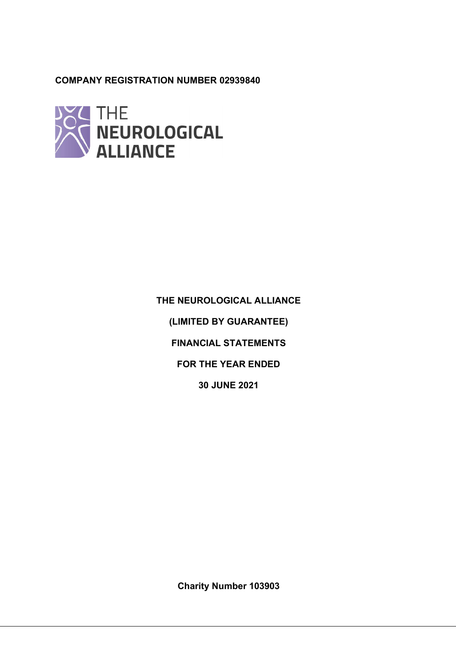# COMPANY REGISTRATION NUMBER 02939840



THE NEUROLOGICAL ALLIANCE (LIMITED BY GUARANTEE) FINANCIAL STATEMENTS FOR THE YEAR ENDED 30 JUNE 2021

Charity Number 103903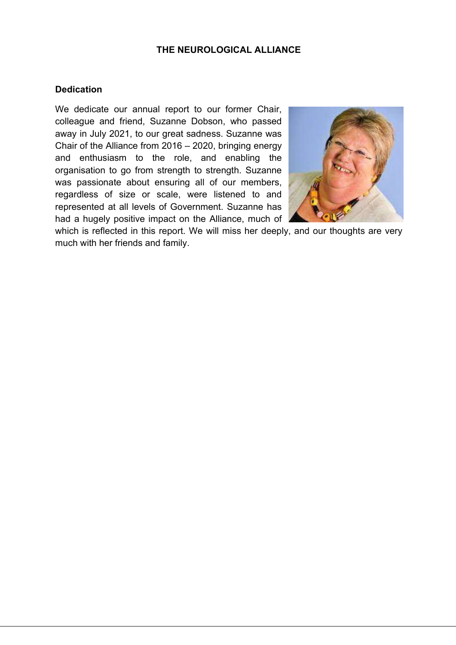# **Dedication**

We dedicate our annual report to our former Chair, colleague and friend, Suzanne Dobson, who passed away in July 2021, to our great sadness. Suzanne was Chair of the Alliance from 2016 – 2020, bringing energy and enthusiasm to the role, and enabling the organisation to go from strength to strength. Suzanne was passionate about ensuring all of our members, regardless of size or scale, were listened to and represented at all levels of Government. Suzanne has had a hugely positive impact on the Alliance, much of



which is reflected in this report. We will miss her deeply, and our thoughts are very much with her friends and family.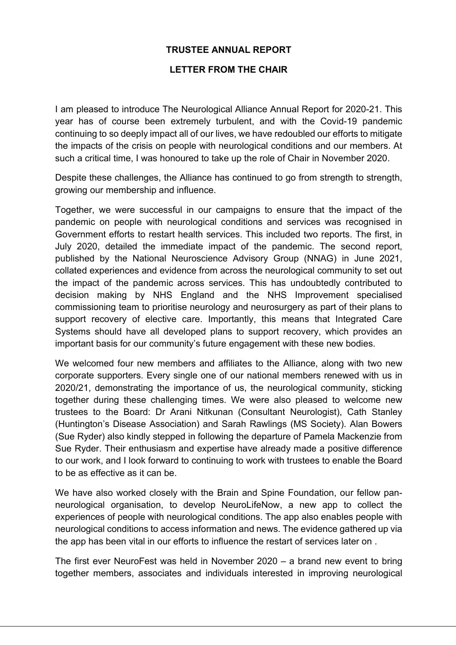# TRUSTEE ANNUAL REPORT

# LETTER FROM THE CHAIR

I am pleased to introduce The Neurological Alliance Annual Report for 2020-21. This year has of course been extremely turbulent, and with the Covid-19 pandemic continuing to so deeply impact all of our lives, we have redoubled our efforts to mitigate the impacts of the crisis on people with neurological conditions and our members. At such a critical time, I was honoured to take up the role of Chair in November 2020.

Despite these challenges, the Alliance has continued to go from strength to strength, growing our membership and influence.

Together, we were successful in our campaigns to ensure that the impact of the pandemic on people with neurological conditions and services was recognised in Government efforts to restart health services. This included two reports. The first, in July 2020, detailed the immediate impact of the pandemic. The second report, published by the National Neuroscience Advisory Group (NNAG) in June 2021, collated experiences and evidence from across the neurological community to set out the impact of the pandemic across services. This has undoubtedly contributed to decision making by NHS England and the NHS Improvement specialised commissioning team to prioritise neurology and neurosurgery as part of their plans to support recovery of elective care. Importantly, this means that Integrated Care Systems should have all developed plans to support recovery, which provides an important basis for our community's future engagement with these new bodies.

We welcomed four new members and affiliates to the Alliance, along with two new corporate supporters. Every single one of our national members renewed with us in 2020/21, demonstrating the importance of us, the neurological community, sticking together during these challenging times. We were also pleased to welcome new trustees to the Board: Dr Arani Nitkunan (Consultant Neurologist), Cath Stanley (Huntington's Disease Association) and Sarah Rawlings (MS Society). Alan Bowers (Sue Ryder) also kindly stepped in following the departure of Pamela Mackenzie from Sue Ryder. Their enthusiasm and expertise have already made a positive difference to our work, and I look forward to continuing to work with trustees to enable the Board to be as effective as it can be.

We have also worked closely with the Brain and Spine Foundation, our fellow panneurological organisation, to develop NeuroLifeNow, a new app to collect the experiences of people with neurological conditions. The app also enables people with neurological conditions to access information and news. The evidence gathered up via the app has been vital in our efforts to influence the restart of services later on .

The first ever NeuroFest was held in November 2020 – a brand new event to bring together members, associates and individuals interested in improving neurological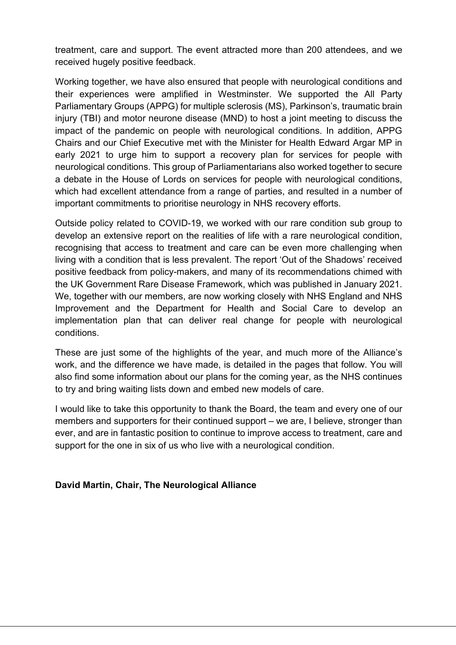treatment, care and support. The event attracted more than 200 attendees, and we received hugely positive feedback.

Working together, we have also ensured that people with neurological conditions and their experiences were amplified in Westminster. We supported the All Party Parliamentary Groups (APPG) for multiple sclerosis (MS), Parkinson's, traumatic brain injury (TBI) and motor neurone disease (MND) to host a joint meeting to discuss the impact of the pandemic on people with neurological conditions. In addition, APPG Chairs and our Chief Executive met with the Minister for Health Edward Argar MP in early 2021 to urge him to support a recovery plan for services for people with neurological conditions. This group of Parliamentarians also worked together to secure a debate in the House of Lords on services for people with neurological conditions, which had excellent attendance from a range of parties, and resulted in a number of important commitments to prioritise neurology in NHS recovery efforts.

Outside policy related to COVID-19, we worked with our rare condition sub group to develop an extensive report on the realities of life with a rare neurological condition, recognising that access to treatment and care can be even more challenging when living with a condition that is less prevalent. The report 'Out of the Shadows' received positive feedback from policy-makers, and many of its recommendations chimed with the UK Government Rare Disease Framework, which was published in January 2021. We, together with our members, are now working closely with NHS England and NHS Improvement and the Department for Health and Social Care to develop an implementation plan that can deliver real change for people with neurological conditions.

These are just some of the highlights of the year, and much more of the Alliance's work, and the difference we have made, is detailed in the pages that follow. You will also find some information about our plans for the coming year, as the NHS continues to try and bring waiting lists down and embed new models of care.

I would like to take this opportunity to thank the Board, the team and every one of our members and supporters for their continued support – we are, I believe, stronger than ever, and are in fantastic position to continue to improve access to treatment, care and support for the one in six of us who live with a neurological condition.

# David Martin, Chair, The Neurological Alliance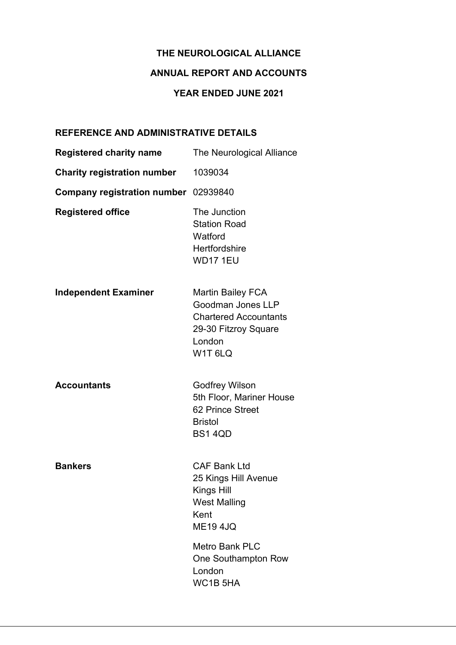# ANNUAL REPORT AND ACCOUNTS

# YEAR ENDED JUNE 2021

# REFERENCE AND ADMINISTRATIVE DETAILS

| <b>Registered charity name</b>       | The Neurological Alliance                                                                                                             |
|--------------------------------------|---------------------------------------------------------------------------------------------------------------------------------------|
| <b>Charity registration number</b>   | 1039034                                                                                                                               |
| Company registration number 02939840 |                                                                                                                                       |
| <b>Registered office</b>             | The Junction<br><b>Station Road</b><br>Watford<br>Hertfordshire<br><b>WD17 1EU</b>                                                    |
| <b>Independent Examiner</b>          | <b>Martin Bailey FCA</b><br>Goodman Jones LLP<br><b>Chartered Accountants</b><br>29-30 Fitzroy Square<br>London<br>W1T <sub>6LQ</sub> |
| <b>Accountants</b>                   | <b>Godfrey Wilson</b><br>5th Floor, Mariner House<br>62 Prince Street<br><b>Bristol</b><br><b>BS1 4QD</b>                             |
| <b>Bankers</b>                       | <b>CAF Bank Ltd</b><br>25 Kings Hill Avenue<br>Kings Hill<br><b>West Malling</b><br>Kent<br><b>ME194JQ</b>                            |
|                                      | <b>Metro Bank PLC</b><br>One Southampton Row<br>London<br>WC1B <sub>5HA</sub>                                                         |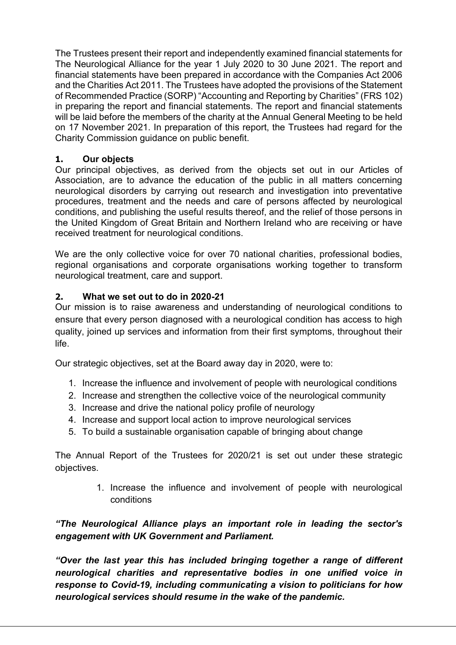The Trustees present their report and independently examined financial statements for The Neurological Alliance for the year 1 July 2020 to 30 June 2021. The report and financial statements have been prepared in accordance with the Companies Act 2006 and the Charities Act 2011. The Trustees have adopted the provisions of the Statement of Recommended Practice (SORP) "Accounting and Reporting by Charities" (FRS 102) in preparing the report and financial statements. The report and financial statements will be laid before the members of the charity at the Annual General Meeting to be held on 17 November 2021. In preparation of this report, the Trustees had regard for the Charity Commission guidance on public benefit.

# 1. Our objects

Our principal objectives, as derived from the objects set out in our Articles of Association, are to advance the education of the public in all matters concerning neurological disorders by carrying out research and investigation into preventative procedures, treatment and the needs and care of persons affected by neurological conditions, and publishing the useful results thereof, and the relief of those persons in the United Kingdom of Great Britain and Northern Ireland who are receiving or have received treatment for neurological conditions.

We are the only collective voice for over 70 national charities, professional bodies, regional organisations and corporate organisations working together to transform neurological treatment, care and support.

# 2. What we set out to do in 2020-21

Our mission is to raise awareness and understanding of neurological conditions to ensure that every person diagnosed with a neurological condition has access to high quality, joined up services and information from their first symptoms, throughout their life.

Our strategic objectives, set at the Board away day in 2020, were to:

- 1. Increase the influence and involvement of people with neurological conditions
- 2. Increase and strengthen the collective voice of the neurological community
- 3. Increase and drive the national policy profile of neurology
- 4. Increase and support local action to improve neurological services
- 5. To build a sustainable organisation capable of bringing about change

The Annual Report of the Trustees for 2020/21 is set out under these strategic objectives.

> 1. Increase the influence and involvement of people with neurological conditions

"The Neurological Alliance plays an important role in leading the sector's engagement with UK Government and Parliament.

"Over the last year this has included bringing together a range of different neurological charities and representative bodies in one unified voice in response to Covid-19, including communicating a vision to politicians for how neurological services should resume in the wake of the pandemic.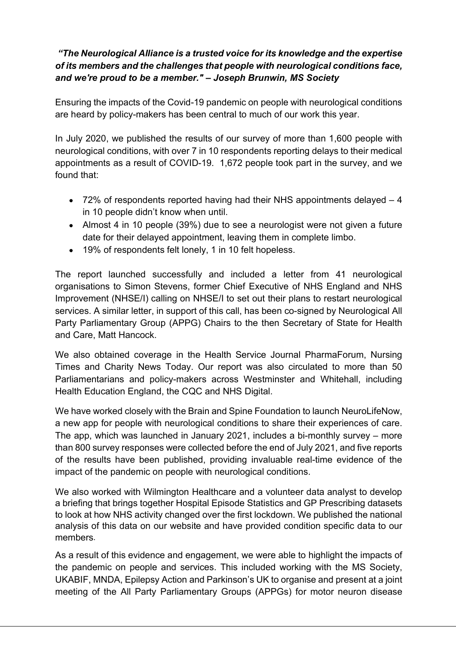# "The Neurological Alliance is a trusted voice for its knowledge and the expertise of its members and the challenges that people with neurological conditions face, and we're proud to be a member." – Joseph Brunwin, MS Society

Ensuring the impacts of the Covid-19 pandemic on people with neurological conditions are heard by policy-makers has been central to much of our work this year.

In July 2020, we published the results of our survey of more than 1,600 people with neurological conditions, with over 7 in 10 respondents reporting delays to their medical appointments as a result of COVID-19. 1,672 people took part in the survey, and we found that:

- 72% of respondents reported having had their NHS appointments delayed 4 in 10 people didn't know when until.
- Almost 4 in 10 people (39%) due to see a neurologist were not given a future date for their delayed appointment, leaving them in complete limbo.
- 19% of respondents felt lonely, 1 in 10 felt hopeless.

The report launched successfully and included a letter from 41 neurological organisations to Simon Stevens, former Chief Executive of NHS England and NHS Improvement (NHSE/I) calling on NHSE/I to set out their plans to restart neurological services. A similar letter, in support of this call, has been co-signed by Neurological All Party Parliamentary Group (APPG) Chairs to the then Secretary of State for Health and Care, Matt Hancock.

We also obtained coverage in the Health Service Journal PharmaForum, Nursing Times and Charity News Today. Our report was also circulated to more than 50 Parliamentarians and policy-makers across Westminster and Whitehall, including Health Education England, the CQC and NHS Digital.

We have worked closely with the Brain and Spine Foundation to launch NeuroLifeNow, a new app for people with neurological conditions to share their experiences of care. The app, which was launched in January 2021, includes a bi-monthly survey – more than 800 survey responses were collected before the end of July 2021, and five reports of the results have been published, providing invaluable real-time evidence of the impact of the pandemic on people with neurological conditions.

We also worked with Wilmington Healthcare and a volunteer data analyst to develop a briefing that brings together Hospital Episode Statistics and GP Prescribing datasets to look at how NHS activity changed over the first lockdown. We published the national analysis of this data on our website and have provided condition specific data to our members.

As a result of this evidence and engagement, we were able to highlight the impacts of the pandemic on people and services. This included working with the MS Society, UKABIF, MNDA, Epilepsy Action and Parkinson's UK to organise and present at a joint meeting of the All Party Parliamentary Groups (APPGs) for motor neuron disease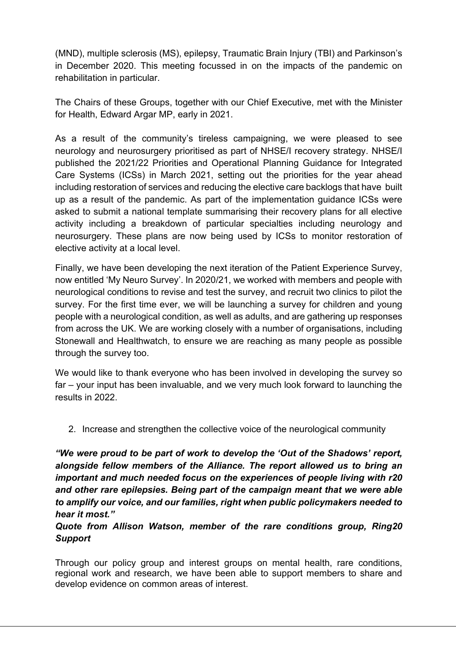(MND), multiple sclerosis (MS), epilepsy, Traumatic Brain Injury (TBI) and Parkinson's in December 2020. This meeting focussed in on the impacts of the pandemic on rehabilitation in particular.

The Chairs of these Groups, together with our Chief Executive, met with the Minister for Health, Edward Argar MP, early in 2021.

As a result of the community's tireless campaigning, we were pleased to see neurology and neurosurgery prioritised as part of NHSE/I recovery strategy. NHSE/I published the 2021/22 Priorities and Operational Planning Guidance for Integrated Care Systems (ICSs) in March 2021, setting out the priorities for the year ahead including restoration of services and reducing the elective care backlogs that have built up as a result of the pandemic. As part of the implementation guidance ICSs were asked to submit a national template summarising their recovery plans for all elective activity including a breakdown of particular specialties including neurology and neurosurgery. These plans are now being used by ICSs to monitor restoration of elective activity at a local level.

Finally, we have been developing the next iteration of the Patient Experience Survey, now entitled 'My Neuro Survey'. In 2020/21, we worked with members and people with neurological conditions to revise and test the survey, and recruit two clinics to pilot the survey. For the first time ever, we will be launching a survey for children and young people with a neurological condition, as well as adults, and are gathering up responses from across the UK. We are working closely with a number of organisations, including Stonewall and Healthwatch, to ensure we are reaching as many people as possible through the survey too.

We would like to thank everyone who has been involved in developing the survey so far – your input has been invaluable, and we very much look forward to launching the results in 2022.

2. Increase and strengthen the collective voice of the neurological community

"We were proud to be part of work to develop the 'Out of the Shadows' report, alongside fellow members of the Alliance. The report allowed us to bring an important and much needed focus on the experiences of people living with r20 and other rare epilepsies. Being part of the campaign meant that we were able to amplify our voice, and our families, right when public policymakers needed to hear it most."

# Quote from Allison Watson, member of the rare conditions group, Ring20 Support

Through our policy group and interest groups on mental health, rare conditions, regional work and research, we have been able to support members to share and develop evidence on common areas of interest.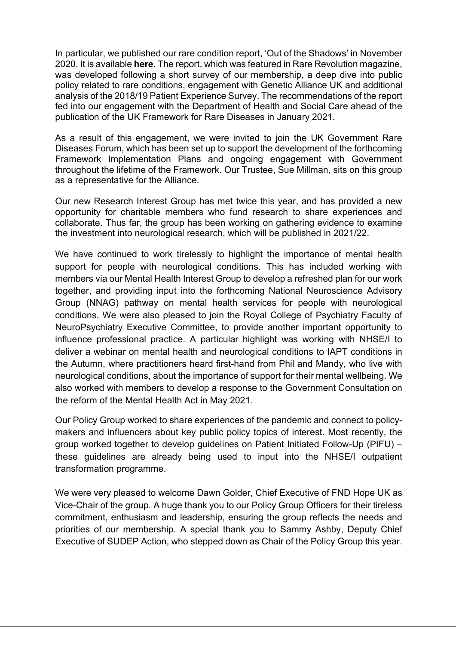In particular, we published our rare condition report, 'Out of the Shadows' in November 2020. It is available here. The report, which was featured in Rare Revolution magazine, was developed following a short survey of our membership, a deep dive into public policy related to rare conditions, engagement with Genetic Alliance UK and additional analysis of the 2018/19 Patient Experience Survey. The recommendations of the report fed into our engagement with the Department of Health and Social Care ahead of the publication of the UK Framework for Rare Diseases in January 2021.

As a result of this engagement, we were invited to join the UK Government Rare Diseases Forum, which has been set up to support the development of the forthcoming Framework Implementation Plans and ongoing engagement with Government throughout the lifetime of the Framework. Our Trustee, Sue Millman, sits on this group as a representative for the Alliance.

Our new Research Interest Group has met twice this year, and has provided a new opportunity for charitable members who fund research to share experiences and collaborate. Thus far, the group has been working on gathering evidence to examine the investment into neurological research, which will be published in 2021/22.

We have continued to work tirelessly to highlight the importance of mental health support for people with neurological conditions. This has included working with members via our Mental Health Interest Group to develop a refreshed plan for our work together, and providing input into the forthcoming National Neuroscience Advisory Group (NNAG) pathway on mental health services for people with neurological conditions. We were also pleased to join the Royal College of Psychiatry Faculty of NeuroPsychiatry Executive Committee, to provide another important opportunity to influence professional practice. A particular highlight was working with NHSE/I to deliver a webinar on mental health and neurological conditions to IAPT conditions in the Autumn, where practitioners heard first-hand from Phil and Mandy, who live with neurological conditions, about the importance of support for their mental wellbeing. We also worked with members to develop a response to the Government Consultation on the reform of the Mental Health Act in May 2021.

Our Policy Group worked to share experiences of the pandemic and connect to policymakers and influencers about key public policy topics of interest. Most recently, the group worked together to develop guidelines on Patient Initiated Follow-Up (PIFU) – these guidelines are already being used to input into the NHSE/I outpatient transformation programme.

We were very pleased to welcome Dawn Golder, Chief Executive of FND Hope UK as Vice-Chair of the group. A huge thank you to our Policy Group Officers for their tireless commitment, enthusiasm and leadership, ensuring the group reflects the needs and priorities of our membership. A special thank you to Sammy Ashby, Deputy Chief Executive of SUDEP Action, who stepped down as Chair of the Policy Group this year.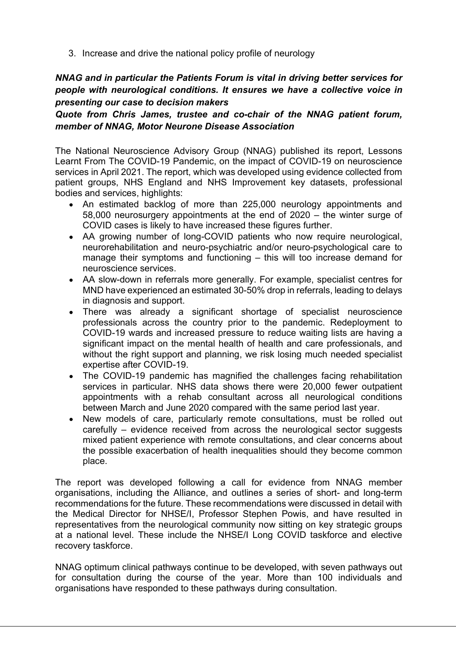3. Increase and drive the national policy profile of neurology

# NNAG and in particular the Patients Forum is vital in driving better services for people with neurological conditions. It ensures we have a collective voice in presenting our case to decision makers

Quote from Chris James, trustee and co-chair of the NNAG patient forum, member of NNAG, Motor Neurone Disease Association

The National Neuroscience Advisory Group (NNAG) published its report, Lessons Learnt From The COVID-19 Pandemic, on the impact of COVID-19 on neuroscience services in April 2021. The report, which was developed using evidence collected from patient groups, NHS England and NHS Improvement key datasets, professional bodies and services, highlights:

- An estimated backlog of more than 225,000 neurology appointments and 58,000 neurosurgery appointments at the end of 2020 – the winter surge of COVID cases is likely to have increased these figures further.
- AA growing number of long-COVID patients who now require neurological, neurorehabilitation and neuro-psychiatric and/or neuro-psychological care to manage their symptoms and functioning – this will too increase demand for neuroscience services.
- AA slow-down in referrals more generally. For example, specialist centres for MND have experienced an estimated 30-50% drop in referrals, leading to delays in diagnosis and support.
- There was already a significant shortage of specialist neuroscience  $\bullet$ professionals across the country prior to the pandemic. Redeployment to COVID-19 wards and increased pressure to reduce waiting lists are having a significant impact on the mental health of health and care professionals, and without the right support and planning, we risk losing much needed specialist expertise after COVID-19.
- The COVID-19 pandemic has magnified the challenges facing rehabilitation services in particular. NHS data shows there were 20,000 fewer outpatient appointments with a rehab consultant across all neurological conditions between March and June 2020 compared with the same period last year.
- New models of care, particularly remote consultations, must be rolled out carefully – evidence received from across the neurological sector suggests mixed patient experience with remote consultations, and clear concerns about the possible exacerbation of health inequalities should they become common place.

The report was developed following a call for evidence from NNAG member organisations, including the Alliance, and outlines a series of short- and long-term recommendations for the future. These recommendations were discussed in detail with the Medical Director for NHSE/I, Professor Stephen Powis, and have resulted in representatives from the neurological community now sitting on key strategic groups at a national level. These include the NHSE/I Long COVID taskforce and elective recovery taskforce.

NNAG optimum clinical pathways continue to be developed, with seven pathways out for consultation during the course of the year. More than 100 individuals and organisations have responded to these pathways during consultation.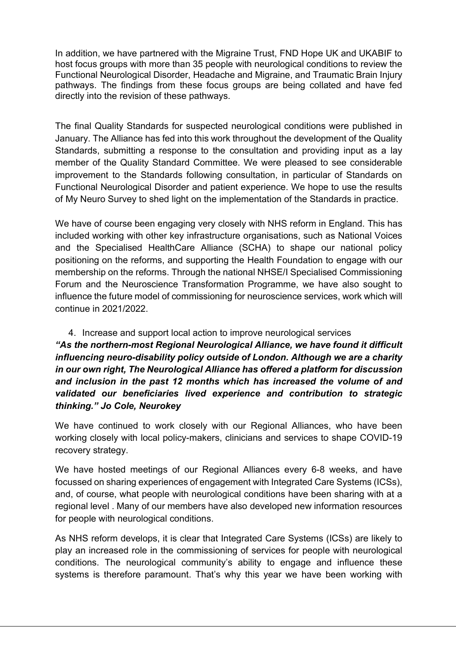In addition, we have partnered with the Migraine Trust, FND Hope UK and UKABIF to host focus groups with more than 35 people with neurological conditions to review the Functional Neurological Disorder, Headache and Migraine, and Traumatic Brain Injury pathways. The findings from these focus groups are being collated and have fed directly into the revision of these pathways.

The final Quality Standards for suspected neurological conditions were published in January. The Alliance has fed into this work throughout the development of the Quality Standards, submitting a response to the consultation and providing input as a lay member of the Quality Standard Committee. We were pleased to see considerable improvement to the Standards following consultation, in particular of Standards on Functional Neurological Disorder and patient experience. We hope to use the results of My Neuro Survey to shed light on the implementation of the Standards in practice.

We have of course been engaging very closely with NHS reform in England. This has included working with other key infrastructure organisations, such as National Voices and the Specialised HealthCare Alliance (SCHA) to shape our national policy positioning on the reforms, and supporting the Health Foundation to engage with our membership on the reforms. Through the national NHSE/I Specialised Commissioning Forum and the Neuroscience Transformation Programme, we have also sought to influence the future model of commissioning for neuroscience services, work which will continue in 2021/2022.

# 4. Increase and support local action to improve neurological services

"As the northern-most Regional Neurological Alliance, we have found it difficult influencing neuro-disability policy outside of London. Although we are a charity in our own right, The Neurological Alliance has offered a platform for discussion and inclusion in the past 12 months which has increased the volume of and validated our beneficiaries lived experience and contribution to strategic thinking." Jo Cole, Neurokey

We have continued to work closely with our Regional Alliances, who have been working closely with local policy-makers, clinicians and services to shape COVID-19 recovery strategy.

We have hosted meetings of our Regional Alliances every 6-8 weeks, and have focussed on sharing experiences of engagement with Integrated Care Systems (ICSs), and, of course, what people with neurological conditions have been sharing with at a regional level . Many of our members have also developed new information resources for people with neurological conditions.

As NHS reform develops, it is clear that Integrated Care Systems (ICSs) are likely to play an increased role in the commissioning of services for people with neurological conditions. The neurological community's ability to engage and influence these systems is therefore paramount. That's why this year we have been working with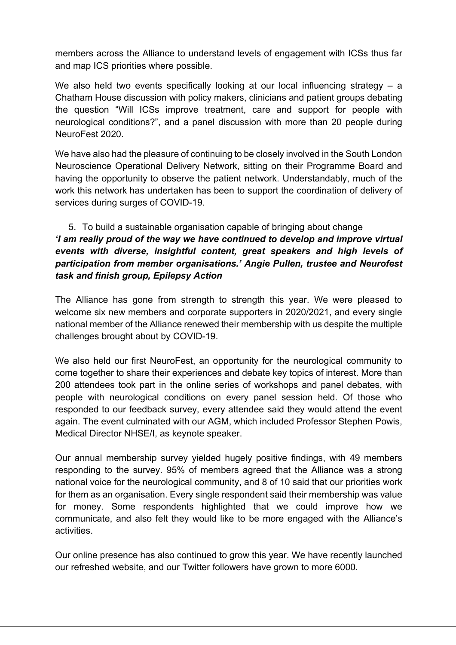members across the Alliance to understand levels of engagement with ICSs thus far and map ICS priorities where possible.

We also held two events specifically looking at our local influencing strategy – a Chatham House discussion with policy makers, clinicians and patient groups debating the question "Will ICSs improve treatment, care and support for people with neurological conditions?", and a panel discussion with more than 20 people during NeuroFest 2020.

We have also had the pleasure of continuing to be closely involved in the South London Neuroscience Operational Delivery Network, sitting on their Programme Board and having the opportunity to observe the patient network. Understandably, much of the work this network has undertaken has been to support the coordination of delivery of services during surges of COVID-19.

# 5. To build a sustainable organisation capable of bringing about change 'I am really proud of the way we have continued to develop and improve virtual events with diverse, insightful content, great speakers and high levels of participation from member organisations.' Angie Pullen, trustee and Neurofest task and finish group, Epilepsy Action

The Alliance has gone from strength to strength this year. We were pleased to welcome six new members and corporate supporters in 2020/2021, and every single national member of the Alliance renewed their membership with us despite the multiple challenges brought about by COVID-19.

We also held our first NeuroFest, an opportunity for the neurological community to come together to share their experiences and debate key topics of interest. More than 200 attendees took part in the online series of workshops and panel debates, with people with neurological conditions on every panel session held. Of those who responded to our feedback survey, every attendee said they would attend the event again. The event culminated with our AGM, which included Professor Stephen Powis, Medical Director NHSE/I, as keynote speaker.

Our annual membership survey yielded hugely positive findings, with 49 members responding to the survey. 95% of members agreed that the Alliance was a strong national voice for the neurological community, and 8 of 10 said that our priorities work for them as an organisation. Every single respondent said their membership was value for money. Some respondents highlighted that we could improve how we communicate, and also felt they would like to be more engaged with the Alliance's activities.

Our online presence has also continued to grow this year. We have recently launched our refreshed website, and our Twitter followers have grown to more 6000.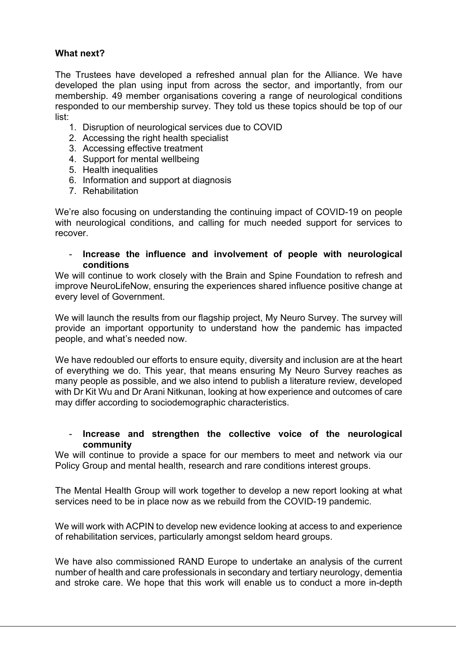# What next?

The Trustees have developed a refreshed annual plan for the Alliance. We have developed the plan using input from across the sector, and importantly, from our membership. 49 member organisations covering a range of neurological conditions responded to our membership survey. They told us these topics should be top of our list:

- 1. Disruption of neurological services due to COVID
- 2. Accessing the right health specialist
- 3. Accessing effective treatment
- 4. Support for mental wellbeing
- 5. Health inequalities
- 6. Information and support at diagnosis
- 7. Rehabilitation

We're also focusing on understanding the continuing impact of COVID-19 on people with neurological conditions, and calling for much needed support for services to recover.

# Increase the influence and involvement of people with neurological conditions

We will continue to work closely with the Brain and Spine Foundation to refresh and improve NeuroLifeNow, ensuring the experiences shared influence positive change at every level of Government.

We will launch the results from our flagship project, My Neuro Survey. The survey will provide an important opportunity to understand how the pandemic has impacted people, and what's needed now.

We have redoubled our efforts to ensure equity, diversity and inclusion are at the heart of everything we do. This year, that means ensuring My Neuro Survey reaches as many people as possible, and we also intend to publish a literature review, developed with Dr Kit Wu and Dr Arani Nitkunan, looking at how experience and outcomes of care may differ according to sociodemographic characteristics.

# - Increase and strengthen the collective voice of the neurological community

We will continue to provide a space for our members to meet and network via our Policy Group and mental health, research and rare conditions interest groups.

The Mental Health Group will work together to develop a new report looking at what services need to be in place now as we rebuild from the COVID-19 pandemic.

We will work with ACPIN to develop new evidence looking at access to and experience of rehabilitation services, particularly amongst seldom heard groups.

We have also commissioned RAND Europe to undertake an analysis of the current number of health and care professionals in secondary and tertiary neurology, dementia and stroke care. We hope that this work will enable us to conduct a more in-depth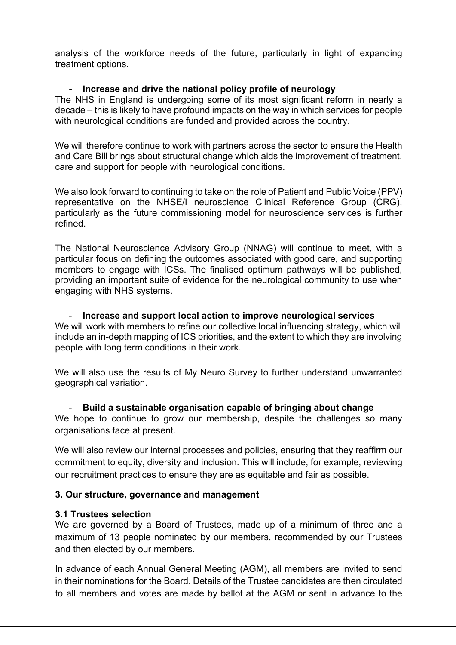analysis of the workforce needs of the future, particularly in light of expanding treatment options.

# Increase and drive the national policy profile of neurology

The NHS in England is undergoing some of its most significant reform in nearly a decade – this is likely to have profound impacts on the way in which services for people with neurological conditions are funded and provided across the country.

We will therefore continue to work with partners across the sector to ensure the Health and Care Bill brings about structural change which aids the improvement of treatment, care and support for people with neurological conditions.

We also look forward to continuing to take on the role of Patient and Public Voice (PPV) representative on the NHSE/I neuroscience Clinical Reference Group (CRG), particularly as the future commissioning model for neuroscience services is further refined.

The National Neuroscience Advisory Group (NNAG) will continue to meet, with a particular focus on defining the outcomes associated with good care, and supporting members to engage with ICSs. The finalised optimum pathways will be published, providing an important suite of evidence for the neurological community to use when engaging with NHS systems.

- Increase and support local action to improve neurological services We will work with members to refine our collective local influencing strategy, which will include an in-depth mapping of ICS priorities, and the extent to which they are involving people with long term conditions in their work.

We will also use the results of My Neuro Survey to further understand unwarranted geographical variation.

# - Build a sustainable organisation capable of bringing about change

We hope to continue to grow our membership, despite the challenges so many organisations face at present.

We will also review our internal processes and policies, ensuring that they reaffirm our commitment to equity, diversity and inclusion. This will include, for example, reviewing our recruitment practices to ensure they are as equitable and fair as possible.

# 3. Our structure, governance and management

# 3.1 Trustees selection

We are governed by a Board of Trustees, made up of a minimum of three and a maximum of 13 people nominated by our members, recommended by our Trustees and then elected by our members.

In advance of each Annual General Meeting (AGM), all members are invited to send in their nominations for the Board. Details of the Trustee candidates are then circulated to all members and votes are made by ballot at the AGM or sent in advance to the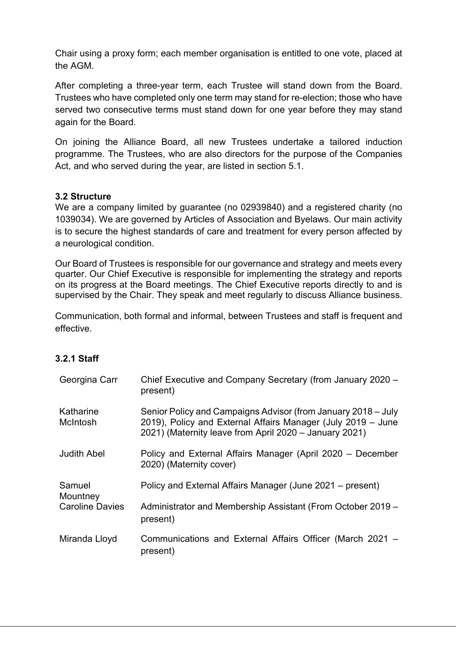Chair using a proxy form; each member organisation is entitled to one vote, placed at the AGM.

After completing a three-year term, each Trustee will stand down from the Board. Trustees who have completed only one term may stand for re-election; those who have served two consecutive terms must stand down for one year before they may stand again for the Board.

On joining the Alliance Board, all new Trustees undertake a tailored induction programme. The Trustees, who are also directors for the purpose of the Companies Act, and who served during the year, are listed in section 5.1.

# 3.2 Structure

We are a company limited by guarantee (no 02939840) and a registered charity (no 1039034). We are governed by Articles of Association and Byelaws. Our main activity is to secure the highest standards of care and treatment for every person affected by a neurological condition.

Our Board of Trustees is responsible for our governance and strategy and meets every quarter. Our Chief Executive is responsible for implementing the strategy and reports on its progress at the Board meetings. The Chief Executive reports directly to and is supervised by the Chair. They speak and meet regularly to discuss Alliance business.

Communication, both formal and informal, between Trustees and staff is frequent and effective.

# 3.2.1 Staff

| Georgina Carr          | Chief Executive and Company Secretary (from January 2020 -<br>present)                                                                                                                  |
|------------------------|-----------------------------------------------------------------------------------------------------------------------------------------------------------------------------------------|
| Katharine<br>McIntosh  | Senior Policy and Campaigns Advisor (from January 2018 – July<br>2019), Policy and External Affairs Manager (July 2019 - June<br>2021) (Maternity leave from April 2020 – January 2021) |
| <b>Judith Abel</b>     | Policy and External Affairs Manager (April 2020 – December<br>2020) (Maternity cover)                                                                                                   |
| Samuel<br>Mountney     | Policy and External Affairs Manager (June 2021 – present)                                                                                                                               |
| <b>Caroline Davies</b> | Administrator and Membership Assistant (From October 2019 –<br>present)                                                                                                                 |
| Miranda Lloyd          | Communications and External Affairs Officer (March 2021 -<br>present)                                                                                                                   |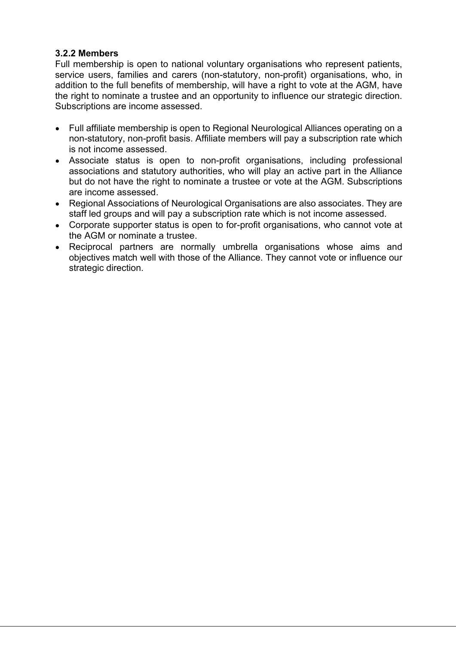# 3.2.2 Members

Full membership is open to national voluntary organisations who represent patients, service users, families and carers (non-statutory, non-profit) organisations, who, in addition to the full benefits of membership, will have a right to vote at the AGM, have the right to nominate a trustee and an opportunity to influence our strategic direction. Subscriptions are income assessed.

- Full affiliate membership is open to Regional Neurological Alliances operating on a non-statutory, non-profit basis. Affiliate members will pay a subscription rate which is not income assessed.
- Associate status is open to non-profit organisations, including professional associations and statutory authorities, who will play an active part in the Alliance but do not have the right to nominate a trustee or vote at the AGM. Subscriptions are income assessed.
- Regional Associations of Neurological Organisations are also associates. They are staff led groups and will pay a subscription rate which is not income assessed.
- Corporate supporter status is open to for-profit organisations, who cannot vote at the AGM or nominate a trustee.
- Reciprocal partners are normally umbrella organisations whose aims and objectives match well with those of the Alliance. They cannot vote or influence our strategic direction.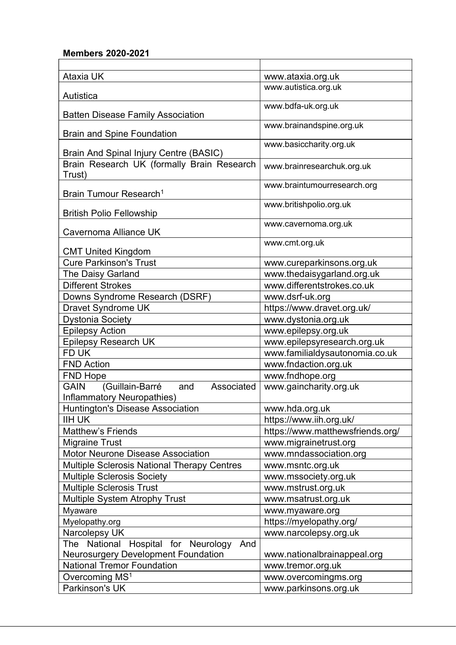# Members 2020-2021

| <b>Ataxia UK</b>                                                                  | www.ataxia.org.uk                |
|-----------------------------------------------------------------------------------|----------------------------------|
| Autistica                                                                         | www.autistica.org.uk             |
| <b>Batten Disease Family Association</b>                                          | www.bdfa-uk.org.uk               |
| <b>Brain and Spine Foundation</b>                                                 | www.brainandspine.org.uk         |
| Brain And Spinal Injury Centre (BASIC)                                            | www.basiccharity.org.uk          |
| Brain Research UK (formally Brain Research<br>Trust)                              | www.brainresearchuk.org.uk       |
| Brain Tumour Research <sup>1</sup>                                                | www.braintumourresearch.org      |
| <b>British Polio Fellowship</b>                                                   | www.britishpolio.org.uk          |
| Cavernoma Alliance UK                                                             | www.cavernoma.org.uk             |
| <b>CMT United Kingdom</b>                                                         | www.cmt.org.uk                   |
| <b>Cure Parkinson's Trust</b>                                                     | www.cureparkinsons.org.uk        |
| The Daisy Garland                                                                 | www.thedaisygarland.org.uk       |
| <b>Different Strokes</b>                                                          | www.differentstrokes.co.uk       |
| Downs Syndrome Research (DSRF)                                                    | www.dsrf-uk.org                  |
| Dravet Syndrome UK                                                                | https://www.dravet.org.uk/       |
| <b>Dystonia Society</b>                                                           | www.dystonia.org.uk              |
| <b>Epilepsy Action</b>                                                            | www.epilepsy.org.uk              |
| <b>Epilepsy Research UK</b>                                                       | www.epilepsyresearch.org.uk      |
| FD UK                                                                             | www.familialdysautonomia.co.uk   |
| <b>FND Action</b>                                                                 | www.fndaction.org.uk             |
| <b>FND Hope</b>                                                                   | www.fndhope.org                  |
| (Guillain-Barré<br>Associated<br><b>GAIN</b><br>and<br>Inflammatory Neuropathies) | www.gaincharity.org.uk           |
| Huntington's Disease Association                                                  | www.hda.org.uk                   |
| <b>IIH UK</b>                                                                     | https://www.iih.org.uk/          |
| <b>Matthew's Friends</b>                                                          | https://www.matthewsfriends.org/ |
| <b>Migraine Trust</b>                                                             | www.migrainetrust.org            |
| <b>Motor Neurone Disease Association</b>                                          | www.mndassociation.org           |
| <b>Multiple Sclerosis National Therapy Centres</b>                                | www.msntc.org.uk                 |
| <b>Multiple Sclerosis Society</b>                                                 | www.mssociety.org.uk             |
| <b>Multiple Sclerosis Trust</b>                                                   | www.mstrust.org.uk               |
| <b>Multiple System Atrophy Trust</b>                                              | www.msatrust.org.uk              |
| Myaware                                                                           | www.myaware.org                  |
| Myelopathy.org                                                                    | https://myelopathy.org/          |
| Narcolepsy UK                                                                     | www.narcolepsy.org.uk            |
| Hospital for Neurology<br>The National<br>And                                     |                                  |
| <b>Neurosurgery Development Foundation</b>                                        | www.nationalbrainappeal.org      |
| <b>National Tremor Foundation</b>                                                 | www.tremor.org.uk                |
| Overcoming MS <sup>1</sup>                                                        | www.overcomingms.org             |
| Parkinson's UK                                                                    | www.parkinsons.org.uk            |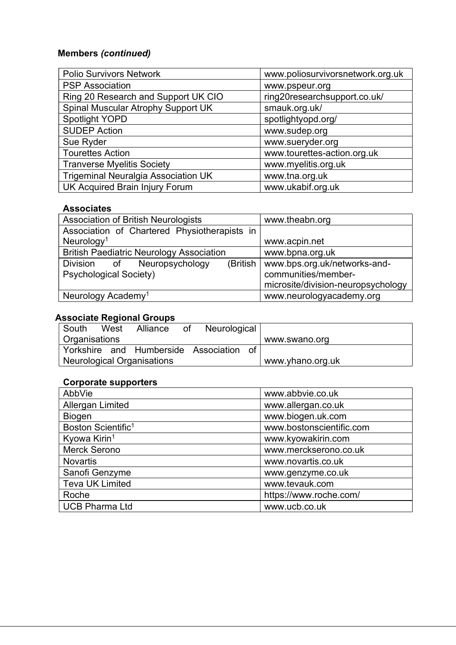# Members (continued)

| <b>Polio Survivors Network</b>             | www.poliosurvivorsnetwork.org.uk |
|--------------------------------------------|----------------------------------|
| <b>PSP Association</b>                     | www.pspeur.org                   |
| Ring 20 Research and Support UK CIO        | ring20researchsupport.co.uk/     |
| Spinal Muscular Atrophy Support UK         | smauk.org.uk/                    |
| <b>Spotlight YOPD</b>                      | spotlightyopd.org/               |
| <b>SUDEP Action</b>                        | www.sudep.org                    |
| Sue Ryder                                  | www.sueryder.org                 |
| <b>Tourettes Action</b>                    | www.tourettes-action.org.uk      |
| <b>Tranverse Myelitis Society</b>          | www.myelitis.org.uk              |
| <b>Trigeminal Neuralgia Association UK</b> | www.tna.org.uk                   |
| <b>UK Acquired Brain Injury Forum</b>      | www.ukabif.org.uk                |

# Associates

| <b>Association of British Neurologists</b>      | www.theabn.org                          |
|-------------------------------------------------|-----------------------------------------|
| Association of Chartered Physiotherapists in    |                                         |
| Neurology <sup>1</sup>                          | www.acpin.net                           |
| <b>British Paediatric Neurology Association</b> | www.bpna.org.uk                         |
| Division of Neuropsychology                     | (British   www.bps.org.uk/networks-and- |
| <b>Psychological Society)</b>                   | communities/member-                     |
|                                                 | microsite/division-neuropsychology      |
| Neurology Academy <sup>1</sup>                  | www.neurologyacademy.org                |

# Associate Regional Groups

| South                | West | Alliance                   | of | Neurological                         |    |                  |
|----------------------|------|----------------------------|----|--------------------------------------|----|------------------|
| $\mid$ Organisations |      |                            |    |                                      |    | www.swano.org    |
|                      |      |                            |    | Yorkshire and Humberside Association | ി∩ |                  |
|                      |      | Neurological Organisations |    |                                      |    | www.yhano.org.uk |

# Corporate supporters

| AbbVie                         | www.abbvie.co.uk         |
|--------------------------------|--------------------------|
| Allergan Limited               | www.allergan.co.uk       |
| <b>Biogen</b>                  | www.biogen.uk.com        |
| Boston Scientific <sup>1</sup> | www.bostonscientific.com |
| Kyowa Kirin <sup>1</sup>       | www.kyowakirin.com       |
| <b>Merck Serono</b>            | www.merckserono.co.uk    |
| <b>Novartis</b>                | www.novartis.co.uk       |
| Sanofi Genzyme                 | www.genzyme.co.uk        |
| <b>Teva UK Limited</b>         | www.tevauk.com           |
| Roche                          | https://www.roche.com/   |
| <b>UCB Pharma Ltd</b>          | www.ucb.co.uk            |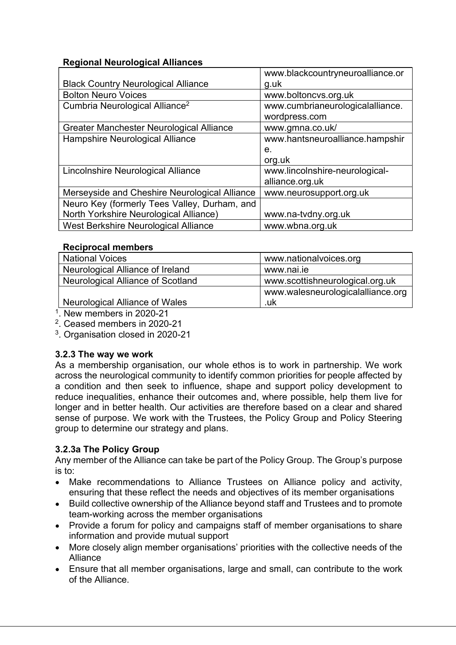# Regional Neurological Alliances

|                                               | www.blackcountryneuroalliance.or |
|-----------------------------------------------|----------------------------------|
| <b>Black Country Neurological Alliance</b>    | g.uk                             |
| <b>Bolton Neuro Voices</b>                    | www.boltoncvs.org.uk             |
| Cumbria Neurological Alliance <sup>2</sup>    | www.cumbrianeurologicalalliance. |
|                                               | wordpress.com                    |
| Greater Manchester Neurological Alliance      | www.gmna.co.uk/                  |
| Hampshire Neurological Alliance               | www.hantsneuroalliance.hampshir  |
|                                               | e.                               |
|                                               | org.uk                           |
| Lincolnshire Neurological Alliance            | www.lincolnshire-neurological-   |
|                                               | alliance.org.uk                  |
| Merseyside and Cheshire Neurological Alliance | www.neurosupport.org.uk          |
| Neuro Key (formerly Tees Valley, Durham, and  |                                  |
| North Yorkshire Neurological Alliance)        | www.na-tvdny.org.uk              |
| West Berkshire Neurological Alliance          | www.wbna.org.uk                  |

# Reciprocal members

| <b>National Voices</b>            | www.nationalvoices.org            |
|-----------------------------------|-----------------------------------|
| Neurological Alliance of Ireland  | www.nai.ie                        |
| Neurological Alliance of Scotland | www.scottishneurological.org.uk   |
|                                   | www.walesneurologicalalliance.org |
| Neurological Alliance of Wales    | .uk                               |

1 . New members in 2020-21

2 . Ceased members in 2020-21

3 . Organisation closed in 2020-21

# 3.2.3 The way we work

As a membership organisation, our whole ethos is to work in partnership. We work across the neurological community to identify common priorities for people affected by a condition and then seek to influence, shape and support policy development to reduce inequalities, enhance their outcomes and, where possible, help them live for longer and in better health. Our activities are therefore based on a clear and shared sense of purpose. We work with the Trustees, the Policy Group and Policy Steering group to determine our strategy and plans.

# 3.2.3a The Policy Group

Any member of the Alliance can take be part of the Policy Group. The Group's purpose is to:

- Make recommendations to Alliance Trustees on Alliance policy and activity, ensuring that these reflect the needs and objectives of its member organisations
- Build collective ownership of the Alliance beyond staff and Trustees and to promote team-working across the member organisations
- Provide a forum for policy and campaigns staff of member organisations to share information and provide mutual support
- More closely align member organisations' priorities with the collective needs of the Alliance
- Ensure that all member organisations, large and small, can contribute to the work of the Alliance.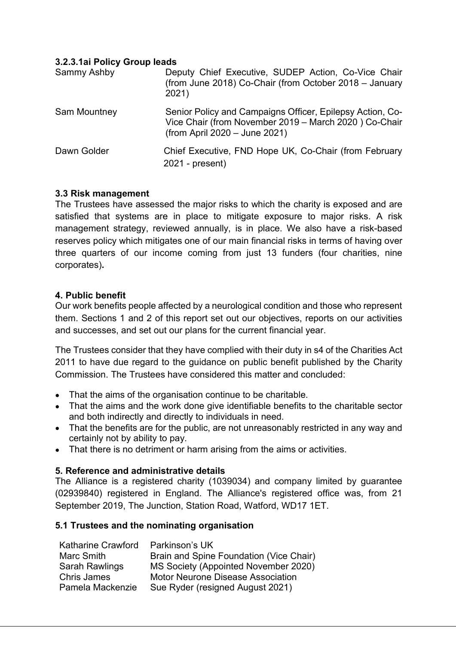# 3.2.3.1ai Policy Group leads

| Sammy Ashby  | Deputy Chief Executive, SUDEP Action, Co-Vice Chair<br>(from June 2018) Co-Chair (from October 2018 - January<br>2021)                              |
|--------------|-----------------------------------------------------------------------------------------------------------------------------------------------------|
| Sam Mountney | Senior Policy and Campaigns Officer, Epilepsy Action, Co-<br>Vice Chair (from November 2019 - March 2020) Co-Chair<br>(from April 2020 - June 2021) |
| Dawn Golder  | Chief Executive, FND Hope UK, Co-Chair (from February<br>$2021$ - present)                                                                          |

# 3.3 Risk management

The Trustees have assessed the major risks to which the charity is exposed and are satisfied that systems are in place to mitigate exposure to major risks. A risk management strategy, reviewed annually, is in place. We also have a risk-based reserves policy which mitigates one of our main financial risks in terms of having over three quarters of our income coming from just 13 funders (four charities, nine corporates).

# 4. Public benefit

Our work benefits people affected by a neurological condition and those who represent them. Sections 1 and 2 of this report set out our objectives, reports on our activities and successes, and set out our plans for the current financial year.

The Trustees consider that they have complied with their duty in s4 of the Charities Act 2011 to have due regard to the guidance on public benefit published by the Charity Commission. The Trustees have considered this matter and concluded:

- That the aims of the organisation continue to be charitable.
- That the aims and the work done give identifiable benefits to the charitable sector and both indirectly and directly to individuals in need.
- That the benefits are for the public, are not unreasonably restricted in any way and certainly not by ability to pay.
- That there is no detriment or harm arising from the aims or activities.

# 5. Reference and administrative details

The Alliance is a registered charity (1039034) and company limited by guarantee (02939840) registered in England. The Alliance's registered office was, from 21 September 2019, The Junction, Station Road, Watford, WD17 1ET.

# 5.1 Trustees and the nominating organisation

| Katharine Crawford    | Parkinson's UK                           |
|-----------------------|------------------------------------------|
| Marc Smith            | Brain and Spine Foundation (Vice Chair)  |
| <b>Sarah Rawlings</b> | MS Society (Appointed November 2020)     |
| <b>Chris James</b>    | <b>Motor Neurone Disease Association</b> |
| Pamela Mackenzie      | Sue Ryder (resigned August 2021)         |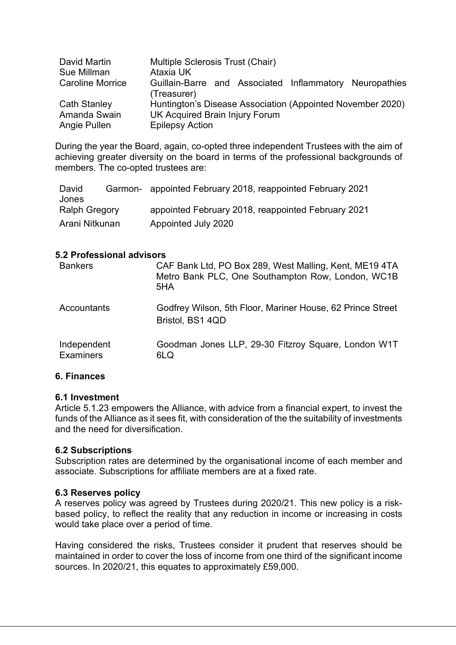| David Martin            | Multiple Sclerosis Trust (Chair)                           |
|-------------------------|------------------------------------------------------------|
| Sue Millman             | Ataxia UK                                                  |
| <b>Caroline Morrice</b> | Guillain-Barre and Associated Inflammatory Neuropathies    |
|                         | (Treasurer)                                                |
| <b>Cath Stanley</b>     | Huntington's Disease Association (Appointed November 2020) |
| Amanda Swain            | UK Acquired Brain Injury Forum                             |
| Angie Pullen            | <b>Epilepsy Action</b>                                     |

During the year the Board, again, co-opted three independent Trustees with the aim of achieving greater diversity on the board in terms of the professional backgrounds of members. The co-opted trustees are:

| David                | Garmon- appointed February 2018, reappointed February 2021 |
|----------------------|------------------------------------------------------------|
| Jones                |                                                            |
| <b>Ralph Gregory</b> | appointed February 2018, reappointed February 2021         |
| Arani Nitkunan       | Appointed July 2020                                        |

# 5.2 Professional advisors

| <b>Bankers</b>                  | CAF Bank Ltd, PO Box 289, West Malling, Kent, ME19 4TA<br>Metro Bank PLC, One Southampton Row, London, WC1B<br>5HA |
|---------------------------------|--------------------------------------------------------------------------------------------------------------------|
| Accountants                     | Godfrey Wilson, 5th Floor, Mariner House, 62 Prince Street<br>Bristol, BS1 4QD                                     |
| Independent<br><b>Examiners</b> | Goodman Jones LLP, 29-30 Fitzroy Square, London W1T<br>6LQ                                                         |

# 6. Finances

### 6.1 Investment

Article 5.1.23 empowers the Alliance, with advice from a financial expert, to invest the funds of the Alliance as it sees fit, with consideration of the the suitability of investments and the need for diversification.

### 6.2 Subscriptions

Subscription rates are determined by the organisational income of each member and associate. Subscriptions for affiliate members are at a fixed rate.

### 6.3 Reserves policy

A reserves policy was agreed by Trustees during 2020/21. This new policy is a riskbased policy, to reflect the reality that any reduction in income or increasing in costs would take place over a period of time.

Having considered the risks, Trustees consider it prudent that reserves should be maintained in order to cover the loss of income from one third of the significant income sources. In 2020/21, this equates to approximately £59,000.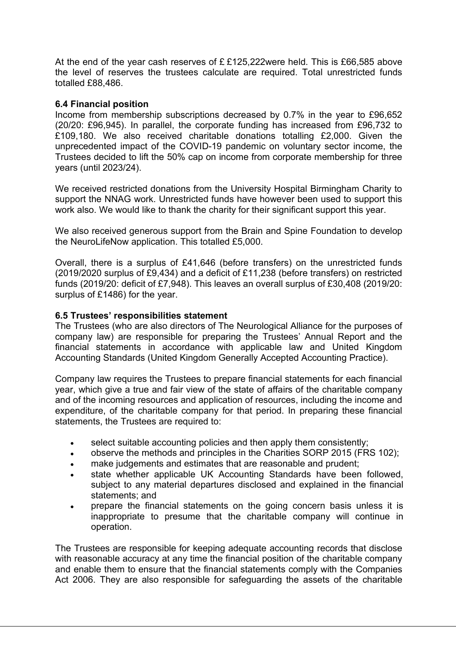At the end of the year cash reserves of £ £125,222were held. This is £66,585 above the level of reserves the trustees calculate are required. Total unrestricted funds totalled £88,486.

# 6.4 Financial position

Income from membership subscriptions decreased by 0.7% in the year to £96,652 (20/20: £96,945). In parallel, the corporate funding has increased from £96,732 to £109,180. We also received charitable donations totalling £2,000. Given the unprecedented impact of the COVID-19 pandemic on voluntary sector income, the Trustees decided to lift the 50% cap on income from corporate membership for three years (until 2023/24).

We received restricted donations from the University Hospital Birmingham Charity to support the NNAG work. Unrestricted funds have however been used to support this work also. We would like to thank the charity for their significant support this year.

We also received generous support from the Brain and Spine Foundation to develop the NeuroLifeNow application. This totalled £5,000.

Overall, there is a surplus of £41,646 (before transfers) on the unrestricted funds (2019/2020 surplus of £9,434) and a deficit of £11,238 (before transfers) on restricted funds (2019/20: deficit of £7,948). This leaves an overall surplus of £30,408 (2019/20: surplus of £1486) for the year.

# 6.5 Trustees' responsibilities statement

The Trustees (who are also directors of The Neurological Alliance for the purposes of company law) are responsible for preparing the Trustees' Annual Report and the financial statements in accordance with applicable law and United Kingdom Accounting Standards (United Kingdom Generally Accepted Accounting Practice).

Company law requires the Trustees to prepare financial statements for each financial year, which give a true and fair view of the state of affairs of the charitable company and of the incoming resources and application of resources, including the income and expenditure, of the charitable company for that period. In preparing these financial statements, the Trustees are required to:

- select suitable accounting policies and then apply them consistently;
- observe the methods and principles in the Charities SORP 2015 (FRS 102);
- make judgements and estimates that are reasonable and prudent;
- state whether applicable UK Accounting Standards have been followed, subject to any material departures disclosed and explained in the financial statements; and
- prepare the financial statements on the going concern basis unless it is inappropriate to presume that the charitable company will continue in operation.

The Trustees are responsible for keeping adequate accounting records that disclose with reasonable accuracy at any time the financial position of the charitable company and enable them to ensure that the financial statements comply with the Companies Act 2006. They are also responsible for safeguarding the assets of the charitable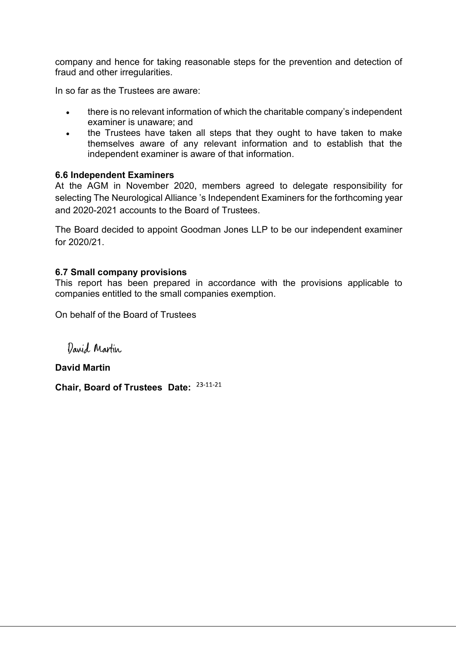company and hence for taking reasonable steps for the prevention and detection of fraud and other irregularities.

In so far as the Trustees are aware:

- there is no relevant information of which the charitable company's independent examiner is unaware; and
- the Trustees have taken all steps that they ought to have taken to make themselves aware of any relevant information and to establish that the independent examiner is aware of that information.

# 6.6 Independent Examiners

At the AGM in November 2020, members agreed to delegate responsibility for selecting The Neurological Alliance 's Independent Examiners for the forthcoming year and 2020-2021 accounts to the Board of Trustees.

The Board decided to appoint Goodman Jones LLP to be our independent examiner for 2020/21.

# 6.7 Small company provisions

This report has been prepared in accordance with the provisions applicable to companies entitled to the small companies exemption.

On behalf of the Board of Trustees

David Martin

David Martin

Chair, Board of Trustees Date: 23-11-21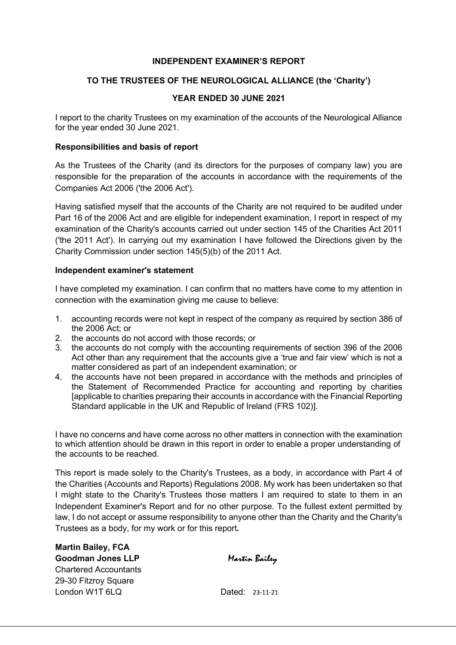### INDEPENDENT EXAMINER'S REPORT

### TO THE TRUSTEES OF THE NEUROLOGICAL ALLIANCE (the 'Charity')

#### YEAR ENDED 30 JUNE 2021

I report to the charity Trustees on my examination of the accounts of the Neurological Alliance for the year ended 30 June 2021.

#### Responsibilities and basis of report

As the Trustees of the Charity (and its directors for the purposes of company law) you are responsible for the preparation of the accounts in accordance with the requirements of the Companies Act 2006 ('the 2006 Act').

Having satisfied myself that the accounts of the Charity are not required to be audited under Part 16 of the 2006 Act and are eligible for independent examination, I report in respect of my examination of the Charity's accounts carried out under section 145 of the Charities Act 2011 ('the 2011 Act'). In carrying out my examination I have followed the Directions given by the Charity Commission under section 145(5)(b) of the 2011 Act.

#### Independent examiner's statement

I have completed my examination. I can confirm that no matters have come to my attention in connection with the examination giving me cause to believe:

- 1. accounting records were not kept in respect of the company as required by section 386 of the 2006 Act; or
- 2. the accounts do not accord with those records; or
- 3. the accounts do not comply with the accounting requirements of section 396 of the 2006 Act other than any requirement that the accounts give a 'true and fair view' which is not a matter considered as part of an independent examination; or
- 4. the accounts have not been prepared in accordance with the methods and principles of the Statement of Recommended Practice for accounting and reporting by charities [applicable to charities preparing their accounts in accordance with the Financial Reporting Standard applicable in the UK and Republic of Ireland (FRS 102)].

I have no concerns and have come across no other matters in connection with the examination to which attention should be drawn in this report in order to enable a proper understanding of the accounts to be reached.

This report is made solely to the Charity's Trustees, as a body, in accordance with Part 4 of the Charities (Accounts and Reports) Regulations 2008. My work has been undertaken so that I might state to the Charity's Trustees those matters I am required to state to them in an Independent Examiner's Report and for no other purpose. To the fullest extent permitted by law, I do not accept or assume responsibility to anyone other than the Charity and the Charity's Trustees as a body, for my work or for this report.

Martin Bailey, FCA Goodman Jones LLP Chartered Accountants 29-30 Fitzroy Square London W1T 6LQ Dated: 23-11-21

Martin Bailey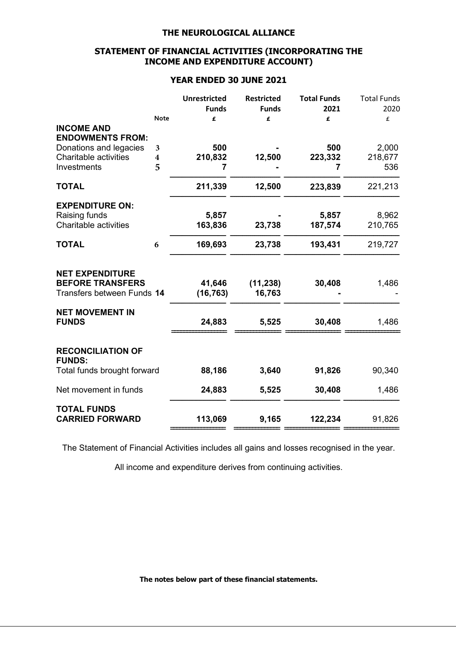# STATEMENT OF FINANCIAL ACTIVITIES (INCORPORATING THE INCOME AND EXPENDITURE ACCOUNT)

## YEAR ENDED 30 JUNE 2021

|                                                        |                              | <b>Unrestricted</b><br><b>Funds</b> | <b>Restricted</b><br><b>Funds</b> | <b>Total Funds</b><br>2021 | <b>Total Funds</b><br>2020 |
|--------------------------------------------------------|------------------------------|-------------------------------------|-----------------------------------|----------------------------|----------------------------|
|                                                        | <b>Note</b>                  | £                                   | £                                 | £                          | £                          |
| <b>INCOME AND</b><br><b>ENDOWMENTS FROM:</b>           |                              |                                     |                                   |                            |                            |
| Donations and legacies<br><b>Charitable activities</b> | 3<br>$\overline{\mathbf{4}}$ | 500<br>210,832                      | 12,500                            | 500<br>223,332             | 2,000<br>218,677           |
| Investments                                            | 5                            | 7                                   |                                   | 7                          | 536                        |
| <b>TOTAL</b>                                           |                              | 211,339                             | 12,500                            | 223,839                    | 221,213                    |
| <b>EXPENDITURE ON:</b>                                 |                              |                                     |                                   |                            |                            |
| Raising funds<br>Charitable activities                 |                              | 5,857<br>163,836                    | 23,738                            | 5,857<br>187,574           | 8,962<br>210,765           |
| <b>TOTAL</b>                                           | 6                            | 169,693                             | 23,738                            | 193,431                    | 219,727                    |
| <b>NET EXPENDITURE</b>                                 |                              |                                     |                                   |                            |                            |
| <b>BEFORE TRANSFERS</b><br>Transfers between Funds 14  |                              | 41,646<br>(16, 763)                 | (11, 238)<br>16,763               | 30,408                     | 1,486                      |
| <b>NET MOVEMENT IN</b>                                 |                              |                                     |                                   |                            |                            |
| <b>FUNDS</b>                                           |                              | 24,883                              | 5,525                             | 30,408                     | 1,486                      |
| <b>RECONCILIATION OF</b><br><b>FUNDS:</b>              |                              |                                     |                                   |                            |                            |
| Total funds brought forward                            |                              | 88,186                              | 3,640                             | 91,826                     | 90,340                     |
| Net movement in funds                                  |                              | 24,883                              | 5,525                             | 30,408                     | 1,486                      |
| <b>TOTAL FUNDS</b><br><b>CARRIED FORWARD</b>           |                              | 113,069                             | 9,165                             | 122,234                    | 91,826                     |
|                                                        |                              |                                     |                                   |                            |                            |

The Statement of Financial Activities includes all gains and losses recognised in the year.

All income and expenditure derives from continuing activities.

The notes below part of these financial statements.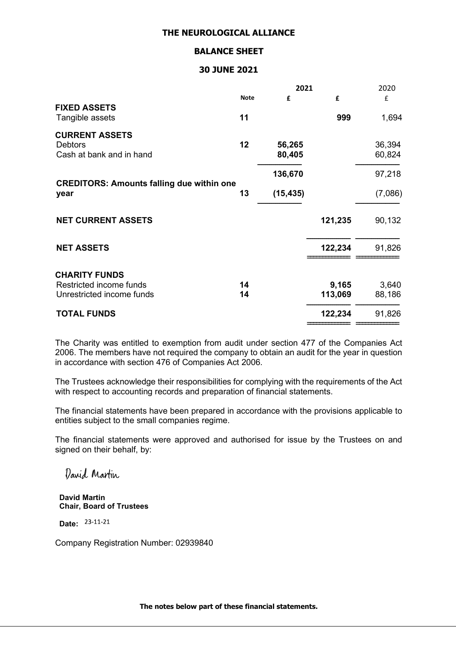#### BALANCE SHEET

#### 30 JUNE 2021

|                                                  |             | 2021      |         | 2020    |  |
|--------------------------------------------------|-------------|-----------|---------|---------|--|
|                                                  | <b>Note</b> | £         | £       | £       |  |
| <b>FIXED ASSETS</b><br>Tangible assets           | 11          |           | 999     | 1,694   |  |
| <b>CURRENT ASSETS</b>                            |             |           |         |         |  |
| <b>Debtors</b>                                   | 12          | 56,265    |         | 36,394  |  |
| Cash at bank and in hand                         |             | 80,405    |         | 60,824  |  |
|                                                  |             | 136,670   |         | 97,218  |  |
| <b>CREDITORS: Amounts falling due within one</b> |             |           |         |         |  |
| year                                             | 13          | (15, 435) |         | (7,086) |  |
| <b>NET CURRENT ASSETS</b>                        |             |           | 121,235 | 90,132  |  |
|                                                  |             |           |         |         |  |
| <b>NET ASSETS</b>                                |             |           | 122,234 | 91,826  |  |
|                                                  |             |           |         |         |  |
| <b>CHARITY FUNDS</b>                             |             |           |         |         |  |
| Restricted income funds                          | 14          |           | 9,165   | 3,640   |  |
| Unrestricted income funds                        | 14          |           | 113,069 | 88,186  |  |
| <b>TOTAL FUNDS</b>                               |             |           | 122,234 | 91,826  |  |
|                                                  |             |           |         |         |  |

The Charity was entitled to exemption from audit under section 477 of the Companies Act 2006. The members have not required the company to obtain an audit for the year in question in accordance with section 476 of Companies Act 2006.

The Trustees acknowledge their responsibilities for complying with the requirements of the Act with respect to accounting records and preparation of financial statements.

The financial statements have been prepared in accordance with the provisions applicable to entities subject to the small companies regime.

The financial statements were approved and authorised for issue by the Trustees on and signed on their behalf, by:

David Martin

David Martin Chair, Board of Trustees

Date: 23-11-21

Company Registration Number: 02939840

The notes below part of these financial statements.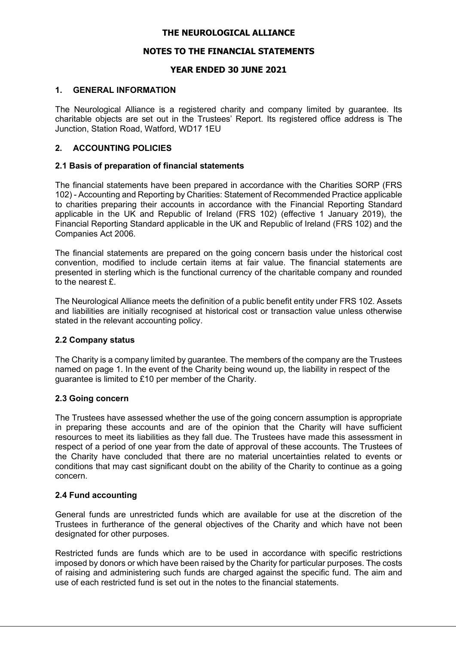### NOTES TO THE FINANCIAL STATEMENTS

### YEAR ENDED 30 JUNE 2021

#### 1. GENERAL INFORMATION

The Neurological Alliance is a registered charity and company limited by guarantee. Its charitable objects are set out in the Trustees' Report. Its registered office address is The Junction, Station Road, Watford, WD17 1EU

### 2. ACCOUNTING POLICIES

#### 2.1 Basis of preparation of financial statements

The financial statements have been prepared in accordance with the Charities SORP (FRS 102) - Accounting and Reporting by Charities: Statement of Recommended Practice applicable to charities preparing their accounts in accordance with the Financial Reporting Standard applicable in the UK and Republic of Ireland (FRS 102) (effective 1 January 2019), the Financial Reporting Standard applicable in the UK and Republic of Ireland (FRS 102) and the Companies Act 2006.

The financial statements are prepared on the going concern basis under the historical cost convention, modified to include certain items at fair value. The financial statements are presented in sterling which is the functional currency of the charitable company and rounded to the nearest  $f$ .

The Neurological Alliance meets the definition of a public benefit entity under FRS 102. Assets and liabilities are initially recognised at historical cost or transaction value unless otherwise stated in the relevant accounting policy.

#### 2.2 Company status

The Charity is a company limited by guarantee. The members of the company are the Trustees named on page 1. In the event of the Charity being wound up, the liability in respect of the guarantee is limited to £10 per member of the Charity.

#### 2.3 Going concern

The Trustees have assessed whether the use of the going concern assumption is appropriate in preparing these accounts and are of the opinion that the Charity will have sufficient resources to meet its liabilities as they fall due. The Trustees have made this assessment in respect of a period of one year from the date of approval of these accounts. The Trustees of the Charity have concluded that there are no material uncertainties related to events or conditions that may cast significant doubt on the ability of the Charity to continue as a going concern.

### 2.4 Fund accounting

General funds are unrestricted funds which are available for use at the discretion of the Trustees in furtherance of the general objectives of the Charity and which have not been designated for other purposes.

Restricted funds are funds which are to be used in accordance with specific restrictions imposed by donors or which have been raised by the Charity for particular purposes. The costs of raising and administering such funds are charged against the specific fund. The aim and use of each restricted fund is set out in the notes to the financial statements.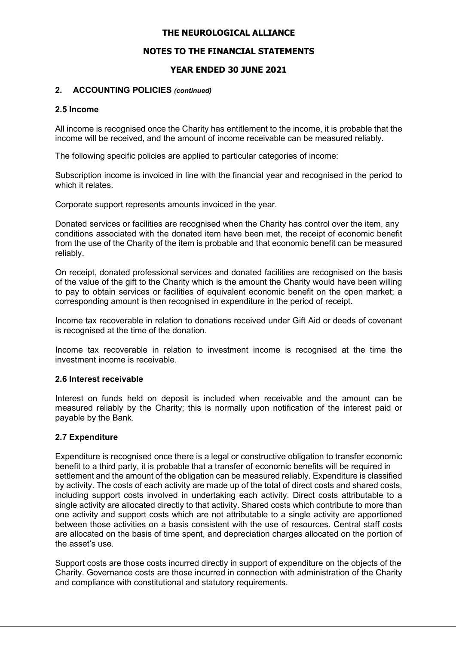# NOTES TO THE FINANCIAL STATEMENTS

# YEAR ENDED 30 JUNE 2021

### 2. ACCOUNTING POLICIES (continued)

#### 2.5 Income

All income is recognised once the Charity has entitlement to the income, it is probable that the income will be received, and the amount of income receivable can be measured reliably.

The following specific policies are applied to particular categories of income:

Subscription income is invoiced in line with the financial year and recognised in the period to which it relates.

Corporate support represents amounts invoiced in the year.

Donated services or facilities are recognised when the Charity has control over the item, any conditions associated with the donated item have been met, the receipt of economic benefit from the use of the Charity of the item is probable and that economic benefit can be measured reliably.

On receipt, donated professional services and donated facilities are recognised on the basis of the value of the gift to the Charity which is the amount the Charity would have been willing to pay to obtain services or facilities of equivalent economic benefit on the open market; a corresponding amount is then recognised in expenditure in the period of receipt.

Income tax recoverable in relation to donations received under Gift Aid or deeds of covenant is recognised at the time of the donation.

Income tax recoverable in relation to investment income is recognised at the time the investment income is receivable.

### 2.6 Interest receivable

Interest on funds held on deposit is included when receivable and the amount can be measured reliably by the Charity; this is normally upon notification of the interest paid or payable by the Bank.

### 2.7 Expenditure

Expenditure is recognised once there is a legal or constructive obligation to transfer economic benefit to a third party, it is probable that a transfer of economic benefits will be required in settlement and the amount of the obligation can be measured reliably. Expenditure is classified by activity. The costs of each activity are made up of the total of direct costs and shared costs, including support costs involved in undertaking each activity. Direct costs attributable to a single activity are allocated directly to that activity. Shared costs which contribute to more than one activity and support costs which are not attributable to a single activity are apportioned between those activities on a basis consistent with the use of resources. Central staff costs are allocated on the basis of time spent, and depreciation charges allocated on the portion of the asset's use.

Support costs are those costs incurred directly in support of expenditure on the objects of the Charity. Governance costs are those incurred in connection with administration of the Charity and compliance with constitutional and statutory requirements.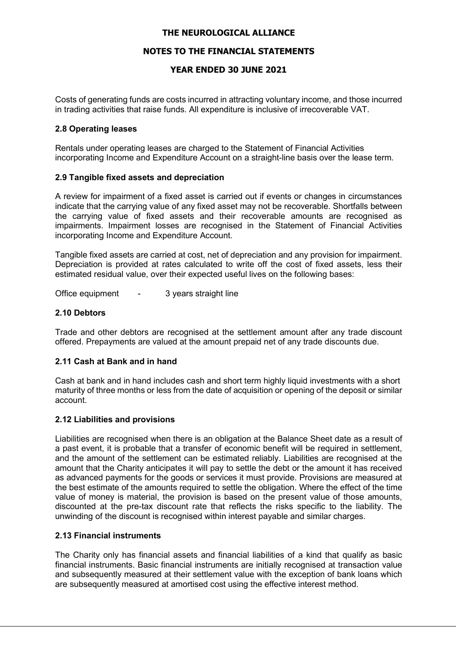# NOTES TO THE FINANCIAL STATEMENTS

# YEAR ENDED 30 JUNE 2021

Costs of generating funds are costs incurred in attracting voluntary income, and those incurred in trading activities that raise funds. All expenditure is inclusive of irrecoverable VAT.

### 2.8 Operating leases

Rentals under operating leases are charged to the Statement of Financial Activities incorporating Income and Expenditure Account on a straight-line basis over the lease term.

#### 2.9 Tangible fixed assets and depreciation

A review for impairment of a fixed asset is carried out if events or changes in circumstances indicate that the carrying value of any fixed asset may not be recoverable. Shortfalls between the carrying value of fixed assets and their recoverable amounts are recognised as impairments. Impairment losses are recognised in the Statement of Financial Activities incorporating Income and Expenditure Account.

Tangible fixed assets are carried at cost, net of depreciation and any provision for impairment. Depreciation is provided at rates calculated to write off the cost of fixed assets, less their estimated residual value, over their expected useful lives on the following bases:

Office equipment - 3 years straight line

#### 2.10 Debtors

Trade and other debtors are recognised at the settlement amount after any trade discount offered. Prepayments are valued at the amount prepaid net of any trade discounts due.

### 2.11 Cash at Bank and in hand

Cash at bank and in hand includes cash and short term highly liquid investments with a short maturity of three months or less from the date of acquisition or opening of the deposit or similar account.

#### 2.12 Liabilities and provisions

Liabilities are recognised when there is an obligation at the Balance Sheet date as a result of a past event, it is probable that a transfer of economic benefit will be required in settlement, and the amount of the settlement can be estimated reliably. Liabilities are recognised at the amount that the Charity anticipates it will pay to settle the debt or the amount it has received as advanced payments for the goods or services it must provide. Provisions are measured at the best estimate of the amounts required to settle the obligation. Where the effect of the time value of money is material, the provision is based on the present value of those amounts, discounted at the pre-tax discount rate that reflects the risks specific to the liability. The unwinding of the discount is recognised within interest payable and similar charges.

### 2.13 Financial instruments

The Charity only has financial assets and financial liabilities of a kind that qualify as basic financial instruments. Basic financial instruments are initially recognised at transaction value and subsequently measured at their settlement value with the exception of bank loans which are subsequently measured at amortised cost using the effective interest method.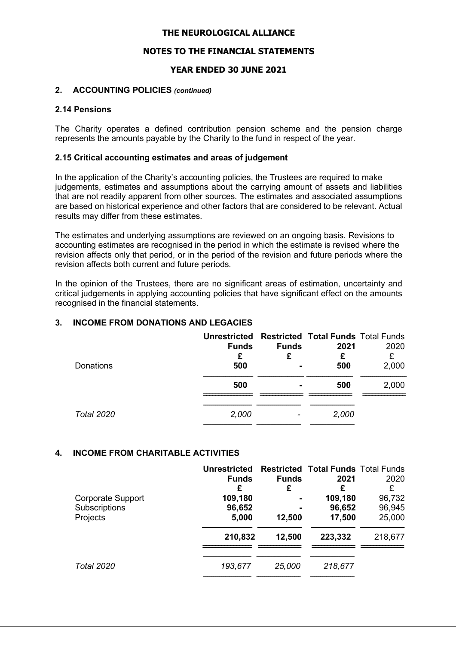# NOTES TO THE FINANCIAL STATEMENTS

# YEAR ENDED 30 JUNE 2021

### 2. ACCOUNTING POLICIES (continued)

#### 2.14 Pensions

The Charity operates a defined contribution pension scheme and the pension charge represents the amounts payable by the Charity to the fund in respect of the year.

#### 2.15 Critical accounting estimates and areas of judgement

In the application of the Charity's accounting policies, the Trustees are required to make judgements, estimates and assumptions about the carrying amount of assets and liabilities that are not readily apparent from other sources. The estimates and associated assumptions are based on historical experience and other factors that are considered to be relevant. Actual results may differ from these estimates.

The estimates and underlying assumptions are reviewed on an ongoing basis. Revisions to accounting estimates are recognised in the period in which the estimate is revised where the revision affects only that period, or in the period of the revision and future periods where the revision affects both current and future periods.

In the opinion of the Trustees, there are no significant areas of estimation, uncertainty and critical judgements in applying accounting policies that have significant effect on the amounts recognised in the financial statements.

# 3. INCOME FROM DONATIONS AND LEGACIES

| Donations  | <b>Unrestricted Restricted Total Funds Total Funds</b><br><b>Funds</b><br>£<br>500 | <b>Funds</b><br>£ | 2021<br>£<br>500 | 2020<br>£<br>2,000 |
|------------|------------------------------------------------------------------------------------|-------------------|------------------|--------------------|
|            | 500                                                                                |                   | 500              | 2,000              |
| Total 2020 | 2,000                                                                              |                   | 2,000            |                    |

### 4. INCOME FROM CHARITABLE ACTIVITIES

|                                                       | <b>Unrestricted</b><br><b>Funds</b><br>£ | <b>Funds</b><br>£ | <b>Restricted Total Funds Total Funds</b><br>2021<br>£ | 2020<br>£                  |
|-------------------------------------------------------|------------------------------------------|-------------------|--------------------------------------------------------|----------------------------|
| <b>Corporate Support</b><br>Subscriptions<br>Projects | 109,180<br>96,652<br>5,000               | 12,500            | 109,180<br>96,652<br>17,500                            | 96,732<br>96,945<br>25,000 |
|                                                       | 210,832                                  | 12,500            | 223,332                                                | 218,677                    |
| <b>Total 2020</b>                                     | 193,677                                  | 25,000            | 218,677                                                |                            |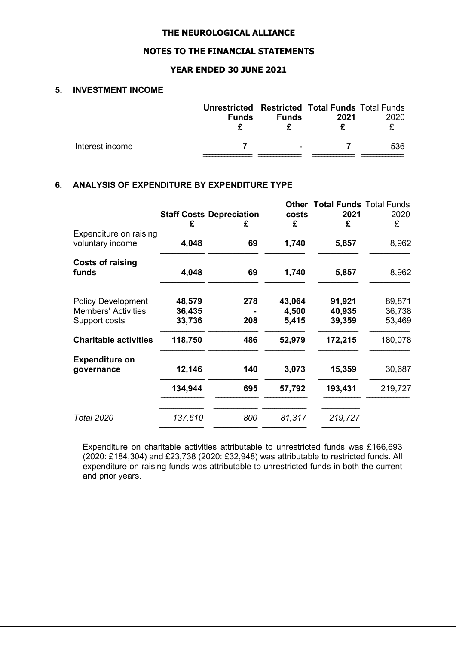# NOTES TO THE FINANCIAL STATEMENTS

### YEAR ENDED 30 JUNE 2021

### 5. INVESTMENT INCOME

|                 | <b>Unrestricted Restricted Total Funds Total Funds</b><br><b>Funds</b> | <b>Funds</b>   | 2021 | 2020 |
|-----------------|------------------------------------------------------------------------|----------------|------|------|
| Interest income |                                                                        | $\blacksquare$ |      | 536  |

# 6. ANALYSIS OF EXPENDITURE BY EXPENDITURE TYPE

|                                                         | <b>Staff Costs Depreciation</b><br>£ | £   | <b>Other</b><br>costs<br>£ | <b>Total Funds Total Funds</b><br>2021<br>£ | 2020<br>£        |
|---------------------------------------------------------|--------------------------------------|-----|----------------------------|---------------------------------------------|------------------|
| Expenditure on raising<br>voluntary income              | 4,048                                | 69  | 1,740                      | 5,857                                       | 8,962            |
| <b>Costs of raising</b><br>funds                        | 4,048                                | 69  | 1,740                      | 5,857                                       | 8,962            |
| <b>Policy Development</b><br><b>Members' Activities</b> | 48,579<br>36,435                     | 278 | 43,064<br>4,500            | 91,921<br>40,935                            | 89,871<br>36,738 |
| Support costs                                           | 33,736                               | 208 | 5,415                      | 39,359                                      | 53,469           |
| <b>Charitable activities</b>                            | 118,750                              | 486 | 52,979                     | 172,215                                     | 180,078          |
| <b>Expenditure on</b><br>governance                     | 12,146                               | 140 | 3,073                      | 15,359                                      | 30,687           |
|                                                         | 134,944                              | 695 | 57,792                     | 193,431                                     | 219,727          |
| <b>Total 2020</b>                                       | 137,610                              | 800 | 81,317                     | 219,727                                     |                  |

Expenditure on charitable activities attributable to unrestricted funds was £166,693 (2020: £184,304) and £23,738 (2020: £32,948) was attributable to restricted funds. All expenditure on raising funds was attributable to unrestricted funds in both the current and prior years.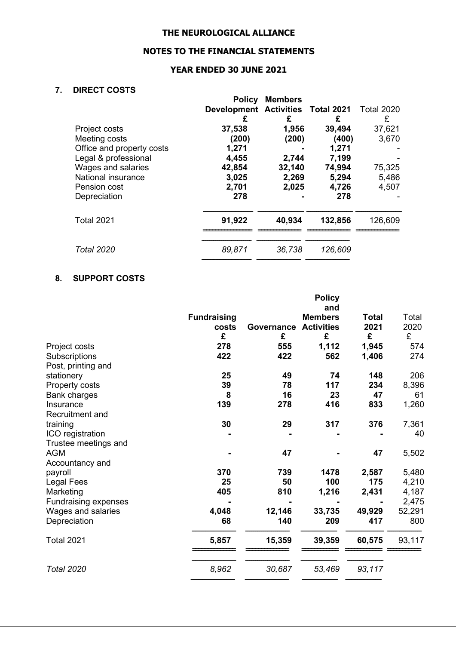# NOTES TO THE FINANCIAL STATEMENTS

# YEAR ENDED 30 JUNE 2021

# 7. DIRECT COSTS

|                           | <b>Policy</b>                     | <b>Members</b> |         |                   |
|---------------------------|-----------------------------------|----------------|---------|-------------------|
|                           | Development Activities Total 2021 |                |         | <b>Total 2020</b> |
|                           | £                                 | £              | £       | £                 |
| Project costs             | 37,538                            | 1,956          | 39,494  | 37,621            |
| Meeting costs             | (200)                             | (200)          | (400)   | 3,670             |
| Office and property costs | 1,271                             |                | 1,271   |                   |
| Legal & professional      | 4,455                             | 2,744          | 7,199   |                   |
| Wages and salaries        | 42,854                            | 32,140         | 74,994  | 75,325            |
| National insurance        | 3,025                             | 2,269          | 5,294   | 5,486             |
| Pension cost              | 2,701                             | 2,025          | 4,726   | 4,507             |
| Depreciation              | 278                               |                | 278     |                   |
| <b>Total 2021</b>         | 91,922                            | 40,934         | 132,856 | 126,609           |
| <b>Total 2020</b>         | 89,871                            | 36,738         | 126,609 |                   |
|                           |                                   |                |         |                   |

# 8. SUPPORT COSTS

|                             |                    |            | <b>Policy</b><br>and |              |        |
|-----------------------------|--------------------|------------|----------------------|--------------|--------|
|                             | <b>Fundraising</b> |            | <b>Members</b>       | <b>Total</b> | Total  |
|                             | costs              | Governance | <b>Activities</b>    | 2021         | 2020   |
|                             | £                  | £          | £                    | £            | £      |
| Project costs               | 278                | 555        | 1,112                | 1,945        | 574    |
| Subscriptions               | 422                | 422        | 562                  | 1,406        | 274    |
| Post, printing and          |                    |            |                      |              |        |
| stationery                  | 25                 | 49         | 74                   | 148          | 206    |
| Property costs              | 39                 | 78         | 117                  | 234          | 8,396  |
| <b>Bank charges</b>         | 8                  | 16         | 23                   | 47           | 61     |
| Insurance                   | 139                | 278        | 416                  | 833          | 1,260  |
| <b>Recruitment and</b>      |                    |            |                      |              |        |
| training                    | 30                 | 29         | 317                  | 376          | 7,361  |
| ICO registration            |                    |            |                      |              | 40     |
| Trustee meetings and        |                    |            |                      |              |        |
| <b>AGM</b>                  |                    | 47         |                      | 47           | 5,502  |
| Accountancy and             |                    |            |                      |              |        |
| payroll                     | 370                | 739        | 1478                 | 2,587        | 5,480  |
| Legal Fees                  | 25                 | 50         | 100                  | 175          | 4,210  |
| Marketing                   | 405                | 810        | 1,216                | 2,431        | 4,187  |
| <b>Fundraising expenses</b> |                    |            |                      |              | 2,475  |
| Wages and salaries          | 4,048              | 12,146     | 33,735               | 49,929       | 52,291 |
| Depreciation                | 68                 | 140        | 209                  | 417          | 800    |
|                             |                    |            |                      |              |        |
| <b>Total 2021</b>           | 5,857              | 15,359     | 39,359               | 60,575       | 93,117 |
|                             |                    |            |                      |              |        |
| <b>Total 2020</b>           | 8,962              | 30,687     | 53,469               | 93,117       |        |
|                             |                    |            |                      |              |        |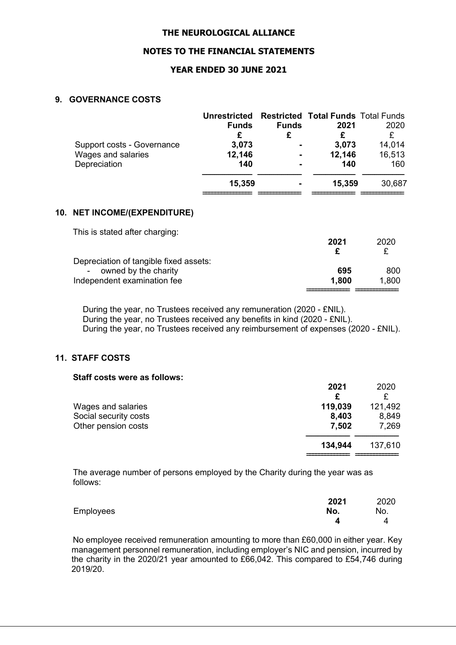#### NOTES TO THE FINANCIAL STATEMENTS

### YEAR ENDED 30 JUNE 2021

#### 9. GOVERNANCE COSTS

| <b>Unrestricted</b> | <b>Funds</b>   | 2021   | 2020                                      |
|---------------------|----------------|--------|-------------------------------------------|
| £                   |                |        | £                                         |
| 3,073               | $\blacksquare$ | 3,073  | 14,014                                    |
| 12,146              | $\blacksquare$ | 12,146 | 16,513                                    |
| 140                 |                | 140    | 160                                       |
| 15,359              |                | 15,359 | 30,687                                    |
|                     | <b>Funds</b>   |        | <b>Restricted Total Funds Total Funds</b> |

#### 10. NET INCOME/(EXPENDITURE)

| This is stated after charging:         |       |       |
|----------------------------------------|-------|-------|
|                                        | 2021  | 2020  |
|                                        | £     |       |
| Depreciation of tangible fixed assets: |       |       |
| owned by the charity<br>$\sim 10^{-1}$ | 695   | 800   |
| Independent examination fee            | 1,800 | 1,800 |
|                                        |       |       |

 During the year, no Trustees received any remuneration (2020 - £NIL). During the year, no Trustees received any benefits in kind (2020 - £NIL). During the year, no Trustees received any reimbursement of expenses (2020 - £NIL).

# 11. STAFF COSTS

#### Staff costs were as follows:

|                       | 2021    | 2020    |
|-----------------------|---------|---------|
|                       | £       |         |
| Wages and salaries    | 119,039 | 121,492 |
| Social security costs | 8,403   | 8,849   |
| Other pension costs   | 7,502   | 7,269   |
|                       | 134,944 | 137,610 |
|                       |         |         |

2021 2020

The average number of persons employed by the Charity during the year was as follows:

|           | 2021 | 2020 |
|-----------|------|------|
| Employees | No.  | No.  |
|           |      |      |

No employee received remuneration amounting to more than £60,000 in either year. Key management personnel remuneration, including employer's NIC and pension, incurred by the charity in the 2020/21 year amounted to £66,042. This compared to £54,746 during 2019/20.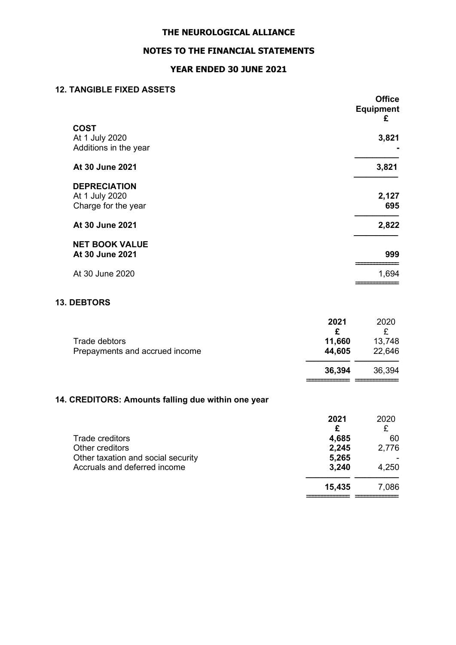# NOTES TO THE FINANCIAL STATEMENTS

# YEAR ENDED 30 JUNE 2021

### 12. TANGIBLE FIXED ASSETS

|                                                              | <b>Office</b><br><b>Equipment</b><br>£ |
|--------------------------------------------------------------|----------------------------------------|
| <b>COST</b><br>At 1 July 2020<br>Additions in the year       | 3,821                                  |
| At 30 June 2021                                              | 3,821                                  |
| <b>DEPRECIATION</b><br>At 1 July 2020<br>Charge for the year | 2,127<br>695                           |
| At 30 June 2021                                              | 2,822                                  |
| <b>NET BOOK VALUE</b><br>At 30 June 2021                     | 999                                    |
| At 30 June 2020                                              | 1,694                                  |
|                                                              |                                        |

# 13. DEBTORS

|                                | 2021   | 2020   |
|--------------------------------|--------|--------|
|                                |        |        |
| Trade debtors                  | 11,660 | 13,748 |
| Prepayments and accrued income | 44,605 | 22,646 |
|                                | 36,394 | 36,394 |
|                                |        |        |

# 14. CREDITORS: Amounts falling due within one year

|                                    | 2021   | 2020  |
|------------------------------------|--------|-------|
|                                    | £      |       |
| Trade creditors                    | 4,685  | 60    |
| Other creditors                    | 2,245  | 2,776 |
| Other taxation and social security | 5,265  |       |
| Accruals and deferred income       | 3,240  | 4,250 |
|                                    | 15,435 | 7,086 |
|                                    |        |       |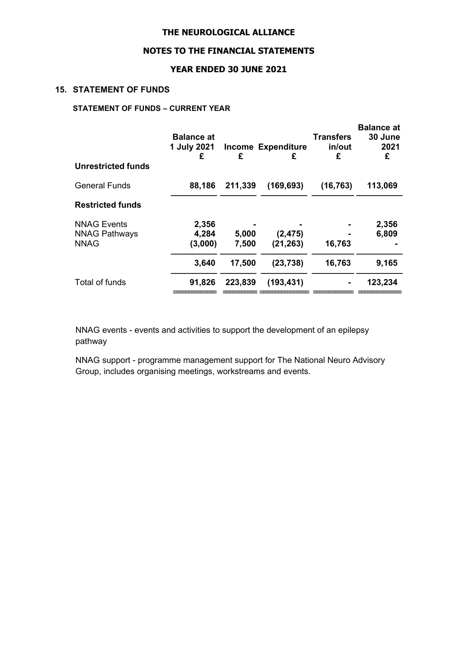## NOTES TO THE FINANCIAL STATEMENTS

## YEAR ENDED 30 JUNE 2021

### 15. STATEMENT OF FUNDS

# STATEMENT OF FUNDS – CURRENT YEAR

| <b>Unrestricted funds</b> | <b>Balance at</b><br>1 July 2021<br>£ | £       | <b>Income Expenditure</b><br>£ | <b>Transfers</b><br>in/out<br>£ | <b>Balance at</b><br>30 June<br>2021<br>£ |
|---------------------------|---------------------------------------|---------|--------------------------------|---------------------------------|-------------------------------------------|
|                           |                                       |         |                                |                                 |                                           |
| <b>General Funds</b>      | 88,186                                | 211,339 | (169, 693)                     | (16, 763)                       | 113,069                                   |
| <b>Restricted funds</b>   |                                       |         |                                |                                 |                                           |
| <b>NNAG Events</b>        | 2,356                                 |         |                                |                                 | 2,356                                     |
| <b>NNAG Pathways</b>      | 4,284                                 | 5,000   | (2, 475)                       |                                 | 6,809                                     |
| <b>NNAG</b>               | (3,000)                               | 7,500   | (21, 263)                      | 16,763                          |                                           |
|                           | 3,640                                 | 17,500  | (23, 738)                      | 16,763                          | 9,165                                     |
| Total of funds            | 91,826                                | 223,839 | (193, 431)                     |                                 | 123,234                                   |
|                           |                                       |         |                                |                                 |                                           |

NNAG events - events and activities to support the development of an epilepsy pathway

NNAG support - programme management support for The National Neuro Advisory Group, includes organising meetings, workstreams and events.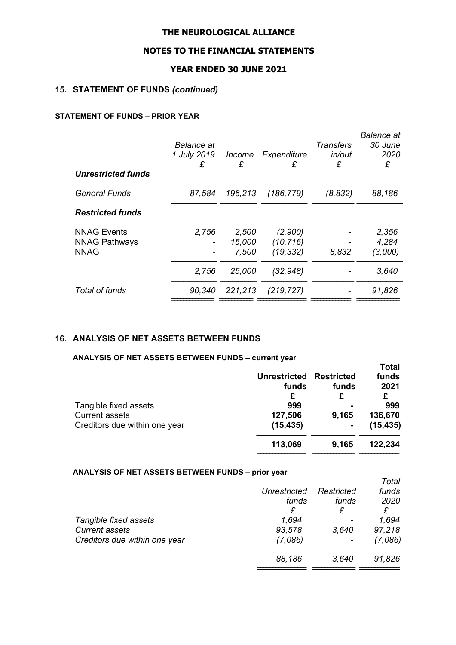## NOTES TO THE FINANCIAL STATEMENTS

## YEAR ENDED 30 JUNE 2021

## 15. STATEMENT OF FUNDS (continued)

## STATEMENT OF FUNDS – PRIOR YEAR

| <b>Unrestricted funds</b> | Balance at<br>1 July 2019<br>£ | Income<br>£ | Expenditure<br>£ | <b>Transfers</b><br>in/out<br>£ | <b>Balance</b> at<br>30 June<br>2020<br>£ |
|---------------------------|--------------------------------|-------------|------------------|---------------------------------|-------------------------------------------|
|                           |                                |             |                  |                                 |                                           |
| <b>General Funds</b>      | 87.584                         | 196,213     | (186, 779)       | (8, 832)                        | 88,186                                    |
| <b>Restricted funds</b>   |                                |             |                  |                                 |                                           |
| <b>NNAG Events</b>        | 2.756                          | 2,500       | (2,900)          |                                 | 2,356                                     |
| <b>NNAG Pathways</b>      |                                | 15,000      | (10, 716)        |                                 | 4.284                                     |
| <b>NNAG</b>               |                                | 7,500       | (19, 332)        | 8,832                           | (3,000)                                   |
|                           | 2,756                          | 25,000      | (32, 948)        |                                 | 3,640                                     |
| Total of funds            | 90,340                         | 221,213     | (219, 727)       |                                 | 91,826                                    |
|                           |                                |             |                  |                                 |                                           |

### 16. ANALYSIS OF NET ASSETS BETWEEN FUNDS

ANALYSIS OF NET ASSETS BETWEEN FUNDS – current year

|                               |                         |                | <b>Total</b> |
|-------------------------------|-------------------------|----------------|--------------|
|                               | Unrestricted Restricted |                | funds        |
|                               | funds                   | funds          | 2021         |
|                               | £                       | £              | £            |
| Tangible fixed assets         | 999                     |                | 999          |
| <b>Current assets</b>         | 127,506                 | 9,165          | 136,670      |
| Creditors due within one year | (15, 435)               | $\blacksquare$ | (15, 435)    |
|                               | 113,069                 | 9,165          | 122,234      |
|                               |                         |                |              |

#### ANALYSIS OF NET ASSETS BETWEEN FUNDS – prior year

|                               |                     |            | Total   |
|-------------------------------|---------------------|------------|---------|
|                               | <b>Unrestricted</b> | Restricted | funds   |
|                               | funds               | funds      | 2020    |
|                               | £                   | £          | £       |
| Tangible fixed assets         | 1,694               |            | 1,694   |
| <b>Current assets</b>         | 93,578              | 3,640      | 97,218  |
| Creditors due within one year | (7,086)             |            | (7,086) |
|                               | 88,186              | 3,640      | 91,826  |
|                               |                     |            |         |